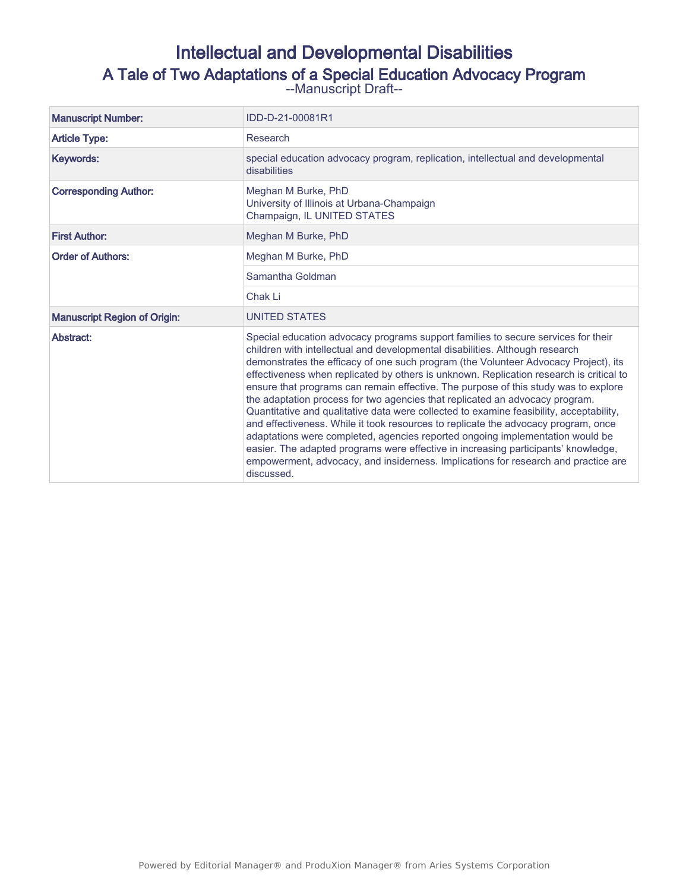# Intellectual and Developmental Disabilities A Tale of Two Adaptations of a Special Education Advocacy Program --Manuscript Draft--

| <b>Manuscript Number:</b>           | IDD-D-21-00081R1                                                                                                                                                                                                                                                                                                                                                                                                                                                                                                                                                                                                                                                                                                                                                                                                                                                                                                                                                                       |  |  |  |
|-------------------------------------|----------------------------------------------------------------------------------------------------------------------------------------------------------------------------------------------------------------------------------------------------------------------------------------------------------------------------------------------------------------------------------------------------------------------------------------------------------------------------------------------------------------------------------------------------------------------------------------------------------------------------------------------------------------------------------------------------------------------------------------------------------------------------------------------------------------------------------------------------------------------------------------------------------------------------------------------------------------------------------------|--|--|--|
| <b>Article Type:</b>                | Research                                                                                                                                                                                                                                                                                                                                                                                                                                                                                                                                                                                                                                                                                                                                                                                                                                                                                                                                                                               |  |  |  |
| Keywords:                           | special education advocacy program, replication, intellectual and developmental<br>disabilities                                                                                                                                                                                                                                                                                                                                                                                                                                                                                                                                                                                                                                                                                                                                                                                                                                                                                        |  |  |  |
| <b>Corresponding Author:</b>        | Meghan M Burke, PhD<br>University of Illinois at Urbana-Champaign<br>Champaign, IL UNITED STATES                                                                                                                                                                                                                                                                                                                                                                                                                                                                                                                                                                                                                                                                                                                                                                                                                                                                                       |  |  |  |
| <b>First Author:</b>                | Meghan M Burke, PhD                                                                                                                                                                                                                                                                                                                                                                                                                                                                                                                                                                                                                                                                                                                                                                                                                                                                                                                                                                    |  |  |  |
| <b>Order of Authors:</b>            | Meghan M Burke, PhD                                                                                                                                                                                                                                                                                                                                                                                                                                                                                                                                                                                                                                                                                                                                                                                                                                                                                                                                                                    |  |  |  |
|                                     | Samantha Goldman                                                                                                                                                                                                                                                                                                                                                                                                                                                                                                                                                                                                                                                                                                                                                                                                                                                                                                                                                                       |  |  |  |
|                                     | Chak Li                                                                                                                                                                                                                                                                                                                                                                                                                                                                                                                                                                                                                                                                                                                                                                                                                                                                                                                                                                                |  |  |  |
| <b>Manuscript Region of Origin:</b> | <b>UNITED STATES</b>                                                                                                                                                                                                                                                                                                                                                                                                                                                                                                                                                                                                                                                                                                                                                                                                                                                                                                                                                                   |  |  |  |
| Abstract:                           | Special education advocacy programs support families to secure services for their<br>children with intellectual and developmental disabilities. Although research<br>demonstrates the efficacy of one such program (the Volunteer Advocacy Project), its<br>effectiveness when replicated by others is unknown. Replication research is critical to<br>ensure that programs can remain effective. The purpose of this study was to explore<br>the adaptation process for two agencies that replicated an advocacy program.<br>Quantitative and qualitative data were collected to examine feasibility, acceptability,<br>and effectiveness. While it took resources to replicate the advocacy program, once<br>adaptations were completed, agencies reported ongoing implementation would be<br>easier. The adapted programs were effective in increasing participants' knowledge,<br>empowerment, advocacy, and insiderness. Implications for research and practice are<br>discussed. |  |  |  |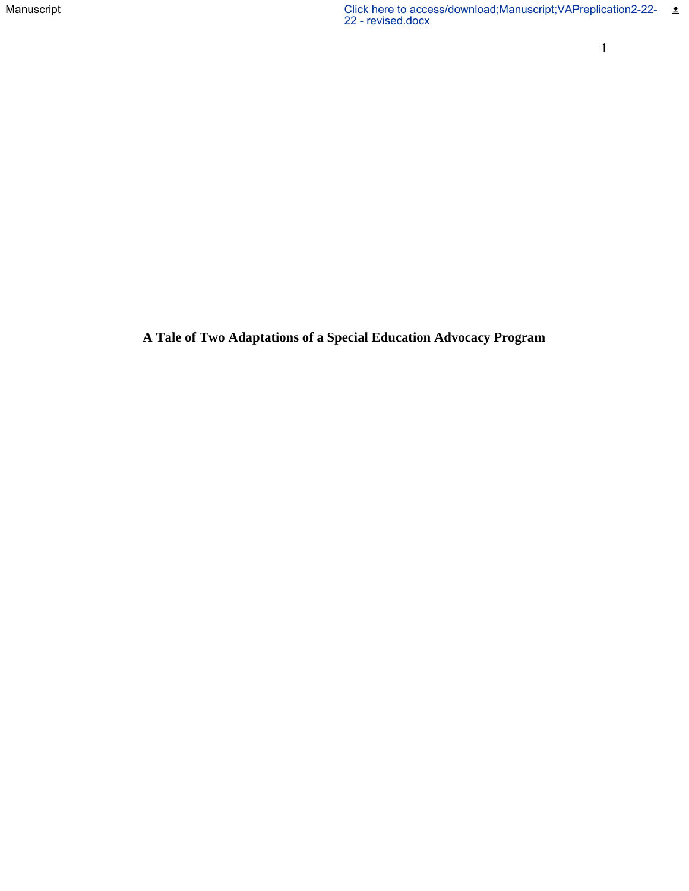**A Tale of Two Adaptations of a Special Education Advocacy Program**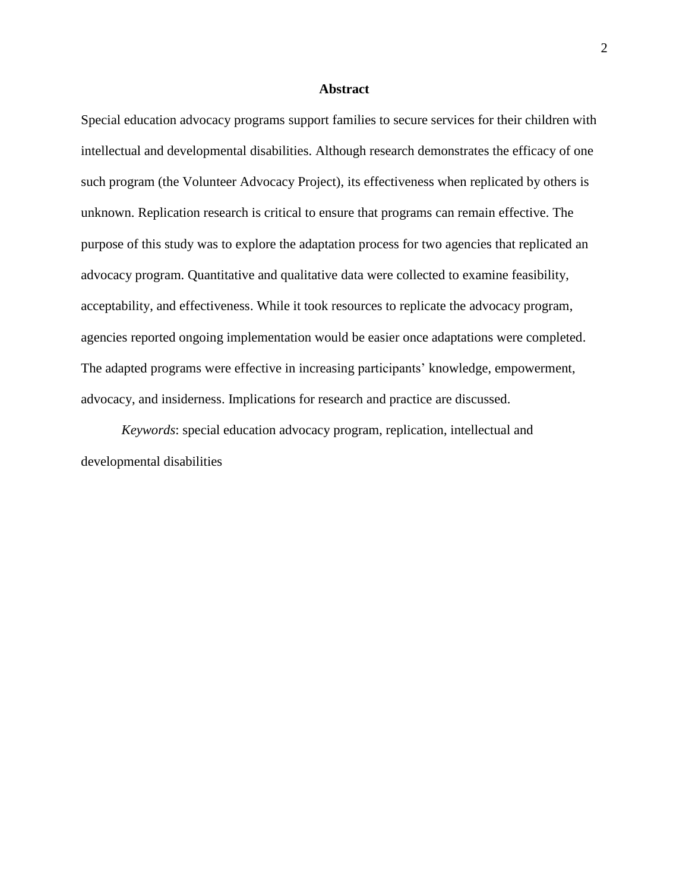#### **Abstract**

Special education advocacy programs support families to secure services for their children with intellectual and developmental disabilities. Although research demonstrates the efficacy of one such program (the Volunteer Advocacy Project), its effectiveness when replicated by others is unknown. Replication research is critical to ensure that programs can remain effective. The purpose of this study was to explore the adaptation process for two agencies that replicated an advocacy program. Quantitative and qualitative data were collected to examine feasibility, acceptability, and effectiveness. While it took resources to replicate the advocacy program, agencies reported ongoing implementation would be easier once adaptations were completed. The adapted programs were effective in increasing participants' knowledge, empowerment, advocacy, and insiderness. Implications for research and practice are discussed.

*Keywords*: special education advocacy program, replication, intellectual and developmental disabilities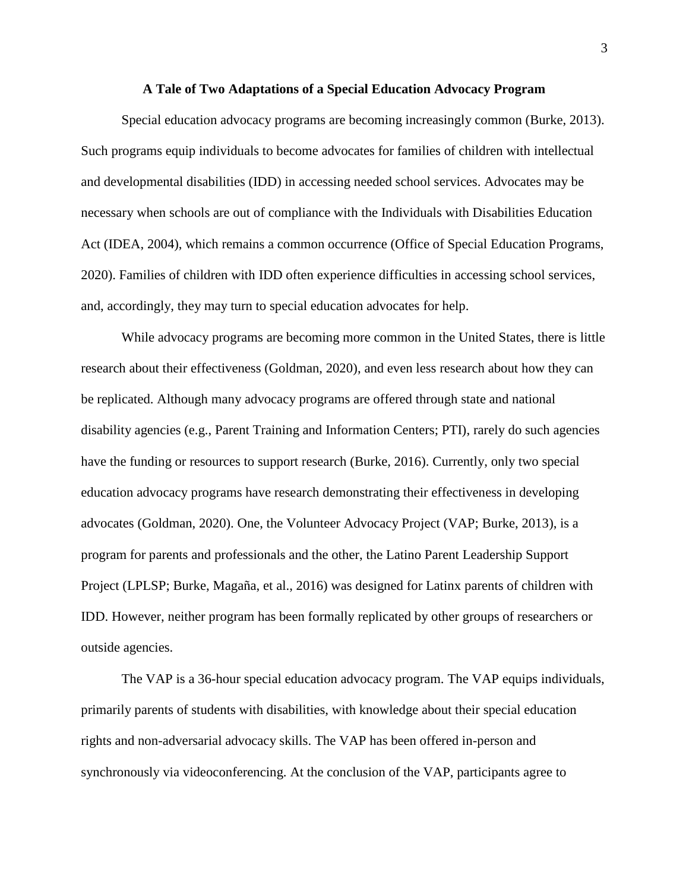#### **A Tale of Two Adaptations of a Special Education Advocacy Program**

Special education advocacy programs are becoming increasingly common (Burke, 2013). Such programs equip individuals to become advocates for families of children with intellectual and developmental disabilities (IDD) in accessing needed school services. Advocates may be necessary when schools are out of compliance with the Individuals with Disabilities Education Act (IDEA, 2004), which remains a common occurrence (Office of Special Education Programs, 2020). Families of children with IDD often experience difficulties in accessing school services, and, accordingly, they may turn to special education advocates for help.

While advocacy programs are becoming more common in the United States, there is little research about their effectiveness (Goldman, 2020), and even less research about how they can be replicated. Although many advocacy programs are offered through state and national disability agencies (e.g., Parent Training and Information Centers; PTI), rarely do such agencies have the funding or resources to support research (Burke, 2016). Currently, only two special education advocacy programs have research demonstrating their effectiveness in developing advocates (Goldman, 2020). One, the Volunteer Advocacy Project (VAP; Burke, 2013), is a program for parents and professionals and the other, the Latino Parent Leadership Support Project (LPLSP; Burke, Magaña, et al., 2016) was designed for Latinx parents of children with IDD. However, neither program has been formally replicated by other groups of researchers or outside agencies.

The VAP is a 36-hour special education advocacy program. The VAP equips individuals, primarily parents of students with disabilities, with knowledge about their special education rights and non-adversarial advocacy skills. The VAP has been offered in-person and synchronously via videoconferencing. At the conclusion of the VAP, participants agree to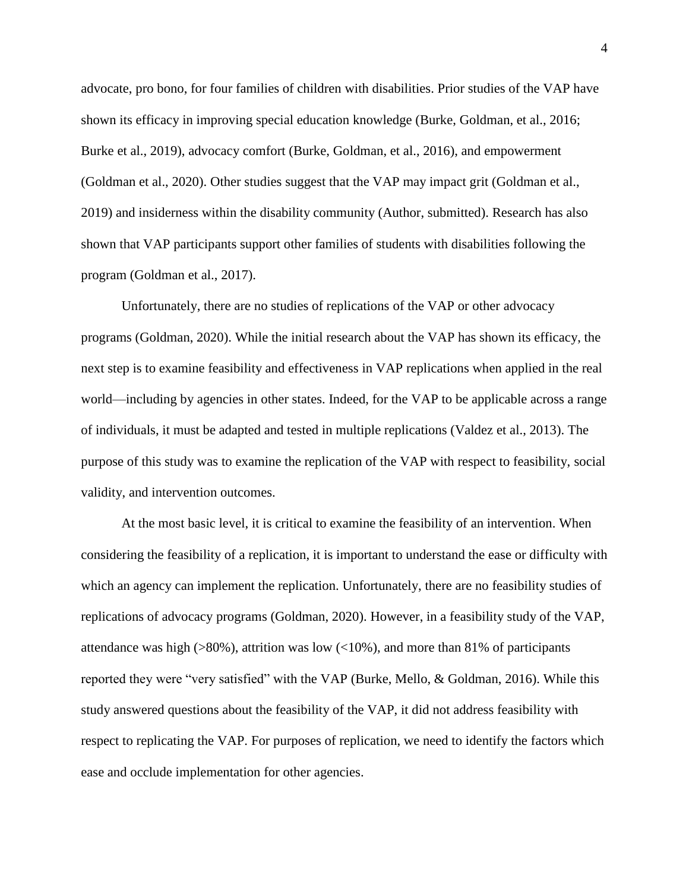advocate, pro bono, for four families of children with disabilities. Prior studies of the VAP have shown its efficacy in improving special education knowledge (Burke, Goldman, et al., 2016; Burke et al., 2019), advocacy comfort (Burke, Goldman, et al., 2016), and empowerment (Goldman et al., 2020). Other studies suggest that the VAP may impact grit (Goldman et al., 2019) and insiderness within the disability community (Author, submitted). Research has also shown that VAP participants support other families of students with disabilities following the program (Goldman et al., 2017).

Unfortunately, there are no studies of replications of the VAP or other advocacy programs (Goldman, 2020). While the initial research about the VAP has shown its efficacy, the next step is to examine feasibility and effectiveness in VAP replications when applied in the real world—including by agencies in other states. Indeed, for the VAP to be applicable across a range of individuals, it must be adapted and tested in multiple replications (Valdez et al., 2013). The purpose of this study was to examine the replication of the VAP with respect to feasibility, social validity, and intervention outcomes.

At the most basic level, it is critical to examine the feasibility of an intervention. When considering the feasibility of a replication, it is important to understand the ease or difficulty with which an agency can implement the replication. Unfortunately, there are no feasibility studies of replications of advocacy programs (Goldman, 2020). However, in a feasibility study of the VAP, attendance was high ( $>80\%$ ), attrition was low ( $<10\%$ ), and more than 81% of participants reported they were "very satisfied" with the VAP (Burke, Mello, & Goldman, 2016). While this study answered questions about the feasibility of the VAP, it did not address feasibility with respect to replicating the VAP. For purposes of replication, we need to identify the factors which ease and occlude implementation for other agencies.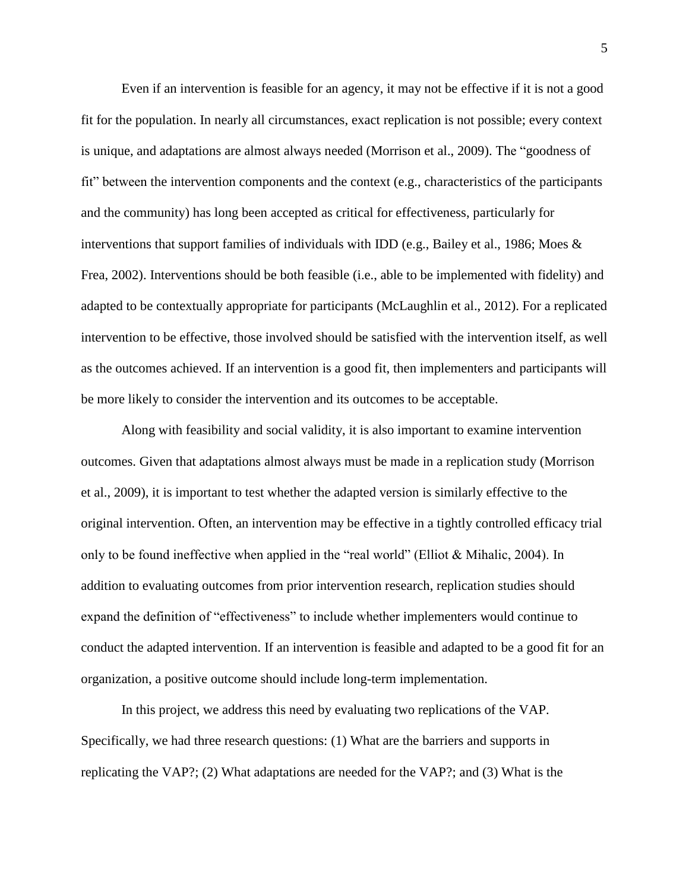Even if an intervention is feasible for an agency, it may not be effective if it is not a good fit for the population. In nearly all circumstances, exact replication is not possible; every context is unique, and adaptations are almost always needed (Morrison et al., 2009). The "goodness of fit" between the intervention components and the context (e.g., characteristics of the participants and the community) has long been accepted as critical for effectiveness, particularly for interventions that support families of individuals with IDD (e.g., Bailey et al., 1986; Moes  $\&$ Frea, 2002). Interventions should be both feasible (i.e., able to be implemented with fidelity) and adapted to be contextually appropriate for participants (McLaughlin et al., 2012). For a replicated intervention to be effective, those involved should be satisfied with the intervention itself, as well as the outcomes achieved. If an intervention is a good fit, then implementers and participants will be more likely to consider the intervention and its outcomes to be acceptable.

Along with feasibility and social validity, it is also important to examine intervention outcomes. Given that adaptations almost always must be made in a replication study (Morrison et al., 2009), it is important to test whether the adapted version is similarly effective to the original intervention. Often, an intervention may be effective in a tightly controlled efficacy trial only to be found ineffective when applied in the "real world" (Elliot & Mihalic, 2004). In addition to evaluating outcomes from prior intervention research, replication studies should expand the definition of "effectiveness" to include whether implementers would continue to conduct the adapted intervention. If an intervention is feasible and adapted to be a good fit for an organization, a positive outcome should include long-term implementation.

In this project, we address this need by evaluating two replications of the VAP. Specifically, we had three research questions: (1) What are the barriers and supports in replicating the VAP?; (2) What adaptations are needed for the VAP?; and (3) What is the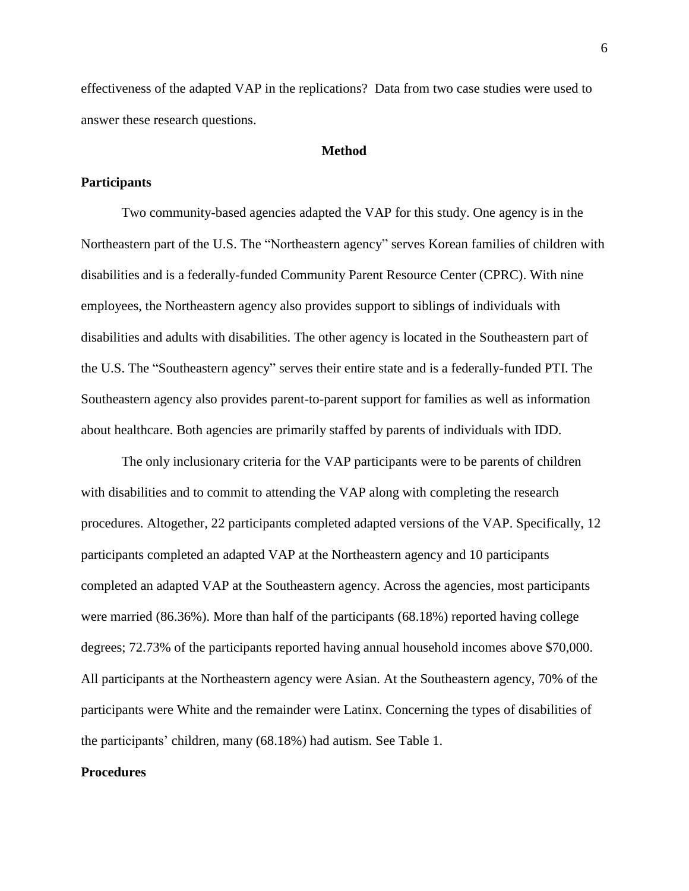effectiveness of the adapted VAP in the replications? Data from two case studies were used to answer these research questions.

## **Method**

## **Participants**

Two community-based agencies adapted the VAP for this study. One agency is in the Northeastern part of the U.S. The "Northeastern agency" serves Korean families of children with disabilities and is a federally-funded Community Parent Resource Center (CPRC). With nine employees, the Northeastern agency also provides support to siblings of individuals with disabilities and adults with disabilities. The other agency is located in the Southeastern part of the U.S. The "Southeastern agency" serves their entire state and is a federally-funded PTI. The Southeastern agency also provides parent-to-parent support for families as well as information about healthcare. Both agencies are primarily staffed by parents of individuals with IDD.

The only inclusionary criteria for the VAP participants were to be parents of children with disabilities and to commit to attending the VAP along with completing the research procedures. Altogether, 22 participants completed adapted versions of the VAP. Specifically, 12 participants completed an adapted VAP at the Northeastern agency and 10 participants completed an adapted VAP at the Southeastern agency. Across the agencies, most participants were married (86.36%). More than half of the participants (68.18%) reported having college degrees; 72.73% of the participants reported having annual household incomes above \$70,000. All participants at the Northeastern agency were Asian. At the Southeastern agency, 70% of the participants were White and the remainder were Latinx. Concerning the types of disabilities of the participants' children, many (68.18%) had autism. See Table 1.

#### **Procedures**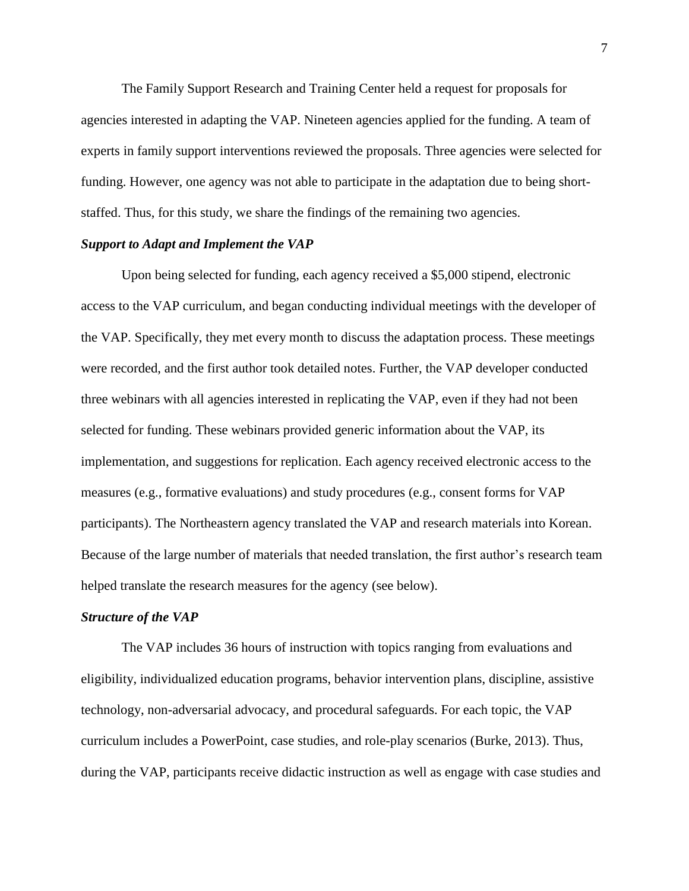The Family Support Research and Training Center held a request for proposals for agencies interested in adapting the VAP. Nineteen agencies applied for the funding. A team of experts in family support interventions reviewed the proposals. Three agencies were selected for funding. However, one agency was not able to participate in the adaptation due to being shortstaffed. Thus, for this study, we share the findings of the remaining two agencies.

### *Support to Adapt and Implement the VAP*

Upon being selected for funding, each agency received a \$5,000 stipend, electronic access to the VAP curriculum, and began conducting individual meetings with the developer of the VAP. Specifically, they met every month to discuss the adaptation process. These meetings were recorded, and the first author took detailed notes. Further, the VAP developer conducted three webinars with all agencies interested in replicating the VAP, even if they had not been selected for funding. These webinars provided generic information about the VAP, its implementation, and suggestions for replication. Each agency received electronic access to the measures (e.g., formative evaluations) and study procedures (e.g., consent forms for VAP participants). The Northeastern agency translated the VAP and research materials into Korean. Because of the large number of materials that needed translation, the first author's research team helped translate the research measures for the agency (see below).

#### *Structure of the VAP*

The VAP includes 36 hours of instruction with topics ranging from evaluations and eligibility, individualized education programs, behavior intervention plans, discipline, assistive technology, non-adversarial advocacy, and procedural safeguards. For each topic, the VAP curriculum includes a PowerPoint, case studies, and role-play scenarios (Burke, 2013). Thus, during the VAP, participants receive didactic instruction as well as engage with case studies and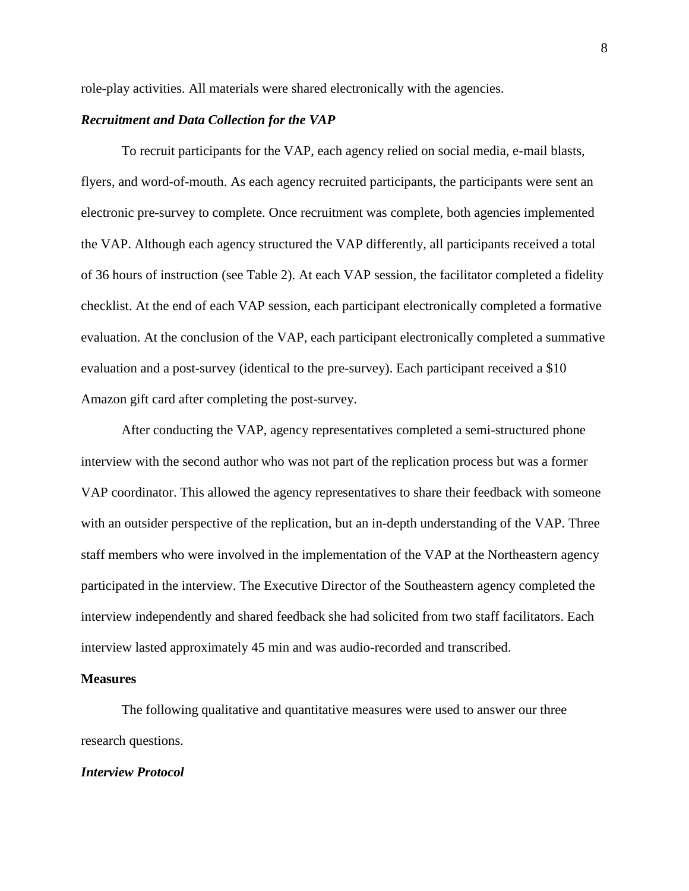role-play activities. All materials were shared electronically with the agencies.

## *Recruitment and Data Collection for the VAP*

To recruit participants for the VAP, each agency relied on social media, e-mail blasts, flyers, and word-of-mouth. As each agency recruited participants, the participants were sent an electronic pre-survey to complete. Once recruitment was complete, both agencies implemented the VAP. Although each agency structured the VAP differently, all participants received a total of 36 hours of instruction (see Table 2). At each VAP session, the facilitator completed a fidelity checklist. At the end of each VAP session, each participant electronically completed a formative evaluation. At the conclusion of the VAP, each participant electronically completed a summative evaluation and a post-survey (identical to the pre-survey). Each participant received a \$10 Amazon gift card after completing the post-survey.

After conducting the VAP, agency representatives completed a semi-structured phone interview with the second author who was not part of the replication process but was a former VAP coordinator. This allowed the agency representatives to share their feedback with someone with an outsider perspective of the replication, but an in-depth understanding of the VAP. Three staff members who were involved in the implementation of the VAP at the Northeastern agency participated in the interview. The Executive Director of the Southeastern agency completed the interview independently and shared feedback she had solicited from two staff facilitators. Each interview lasted approximately 45 min and was audio-recorded and transcribed.

#### **Measures**

The following qualitative and quantitative measures were used to answer our three research questions.

#### *Interview Protocol*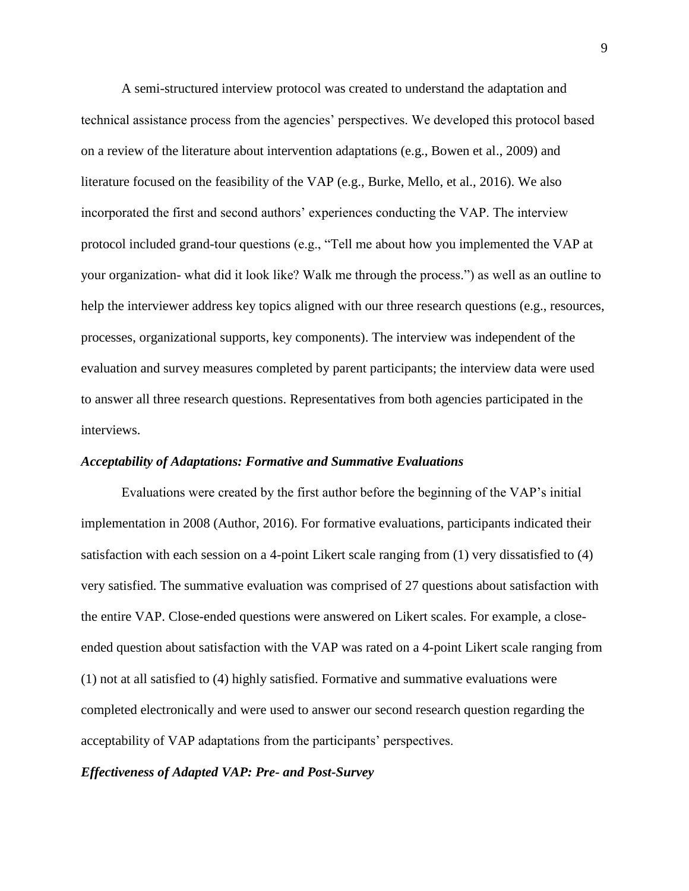A semi-structured interview protocol was created to understand the adaptation and technical assistance process from the agencies' perspectives. We developed this protocol based on a review of the literature about intervention adaptations (e.g., Bowen et al., 2009) and literature focused on the feasibility of the VAP (e.g., Burke, Mello, et al., 2016). We also incorporated the first and second authors' experiences conducting the VAP. The interview protocol included grand-tour questions (e.g., "Tell me about how you implemented the VAP at your organization- what did it look like? Walk me through the process.") as well as an outline to help the interviewer address key topics aligned with our three research questions (e.g., resources, processes, organizational supports, key components). The interview was independent of the evaluation and survey measures completed by parent participants; the interview data were used to answer all three research questions. Representatives from both agencies participated in the interviews.

### *Acceptability of Adaptations: Formative and Summative Evaluations*

Evaluations were created by the first author before the beginning of the VAP's initial implementation in 2008 (Author, 2016). For formative evaluations, participants indicated their satisfaction with each session on a 4-point Likert scale ranging from (1) very dissatisfied to (4) very satisfied. The summative evaluation was comprised of 27 questions about satisfaction with the entire VAP. Close-ended questions were answered on Likert scales. For example, a closeended question about satisfaction with the VAP was rated on a 4-point Likert scale ranging from (1) not at all satisfied to (4) highly satisfied. Formative and summative evaluations were completed electronically and were used to answer our second research question regarding the acceptability of VAP adaptations from the participants' perspectives.

#### *Effectiveness of Adapted VAP: Pre- and Post-Survey*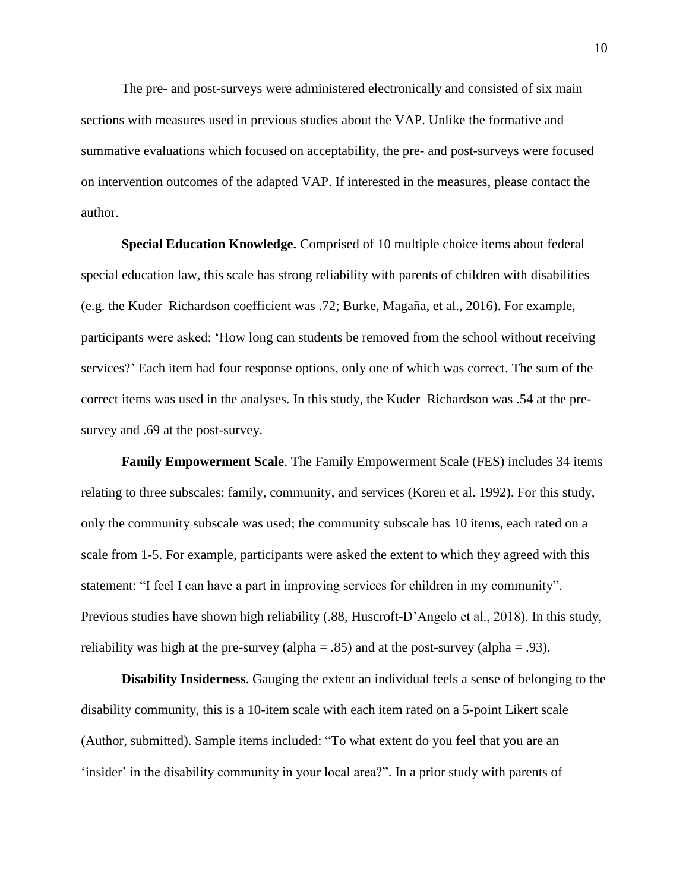The pre- and post-surveys were administered electronically and consisted of six main sections with measures used in previous studies about the VAP. Unlike the formative and summative evaluations which focused on acceptability, the pre- and post-surveys were focused on intervention outcomes of the adapted VAP. If interested in the measures, please contact the author.

**Special Education Knowledge.** Comprised of 10 multiple choice items about federal special education law, this scale has strong reliability with parents of children with disabilities (e.g. the Kuder–Richardson coefficient was .72; Burke, Magaña, et al., 2016). For example, participants were asked: 'How long can students be removed from the school without receiving services?' Each item had four response options, only one of which was correct. The sum of the correct items was used in the analyses. In this study, the Kuder–Richardson was .54 at the presurvey and .69 at the post-survey.

**Family Empowerment Scale**. The Family Empowerment Scale (FES) includes 34 items relating to three subscales: family, community, and services (Koren et al. 1992). For this study, only the community subscale was used; the community subscale has 10 items, each rated on a scale from 1-5. For example, participants were asked the extent to which they agreed with this statement: "I feel I can have a part in improving services for children in my community". Previous studies have shown high reliability (.88, Huscroft-D'Angelo et al., 2018). In this study, reliability was high at the pre-survey (alpha = .85) and at the post-survey (alpha = .93).

**Disability Insiderness**. Gauging the extent an individual feels a sense of belonging to the disability community, this is a 10-item scale with each item rated on a 5-point Likert scale (Author, submitted). Sample items included: "To what extent do you feel that you are an 'insider' in the disability community in your local area?". In a prior study with parents of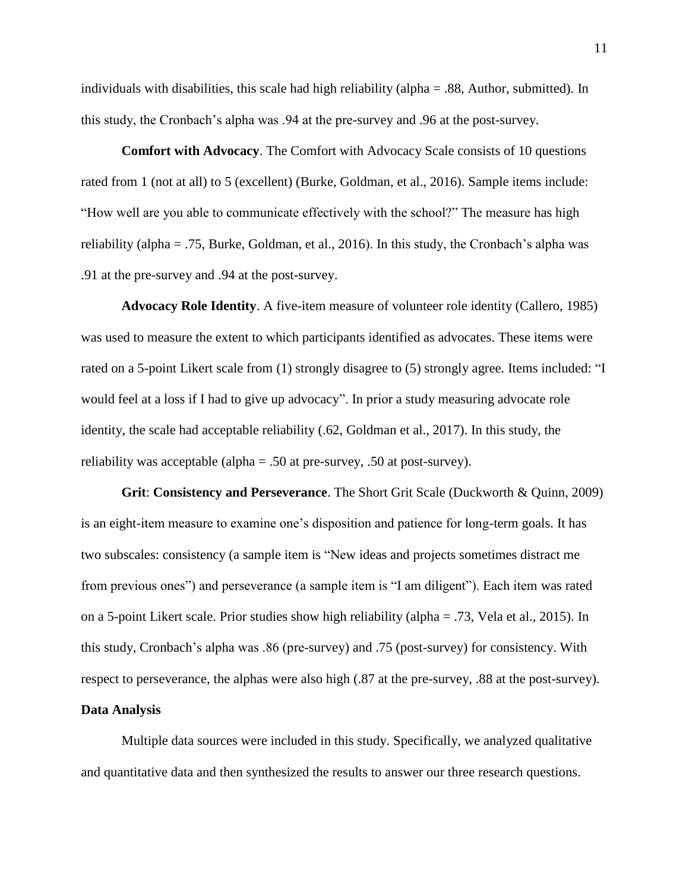individuals with disabilities, this scale had high reliability (alpha  $= .88$ , Author, submitted). In this study, the Cronbach's alpha was .94 at the pre-survey and .96 at the post-survey.

**Comfort with Advocacy**. The Comfort with Advocacy Scale consists of 10 questions rated from 1 (not at all) to 5 (excellent) (Burke, Goldman, et al., 2016). Sample items include: "How well are you able to communicate effectively with the school?" The measure has high reliability (alpha = .75, Burke, Goldman, et al., 2016). In this study, the Cronbach's alpha was .91 at the pre-survey and .94 at the post-survey.

**Advocacy Role Identity**. A five-item measure of volunteer role identity (Callero, 1985) was used to measure the extent to which participants identified as advocates. These items were rated on a 5-point Likert scale from (1) strongly disagree to (5) strongly agree*.* Items included: "I would feel at a loss if I had to give up advocacy". In prior a study measuring advocate role identity, the scale had acceptable reliability (.62, Goldman et al., 2017). In this study, the reliability was acceptable (alpha = .50 at pre-survey, .50 at post-survey).

**Grit**: **Consistency and Perseverance**. The Short Grit Scale (Duckworth & Quinn, 2009) is an eight-item measure to examine one's disposition and patience for long-term goals. It has two subscales: consistency (a sample item is "New ideas and projects sometimes distract me from previous ones") and perseverance (a sample item is "I am diligent"). Each item was rated on a 5-point Likert scale. Prior studies show high reliability (alpha = .73, Vela et al., 2015). In this study, Cronbach's alpha was .86 (pre-survey) and .75 (post-survey) for consistency. With respect to perseverance, the alphas were also high (.87 at the pre-survey, .88 at the post-survey).

## **Data Analysis**

Multiple data sources were included in this study. Specifically, we analyzed qualitative and quantitative data and then synthesized the results to answer our three research questions.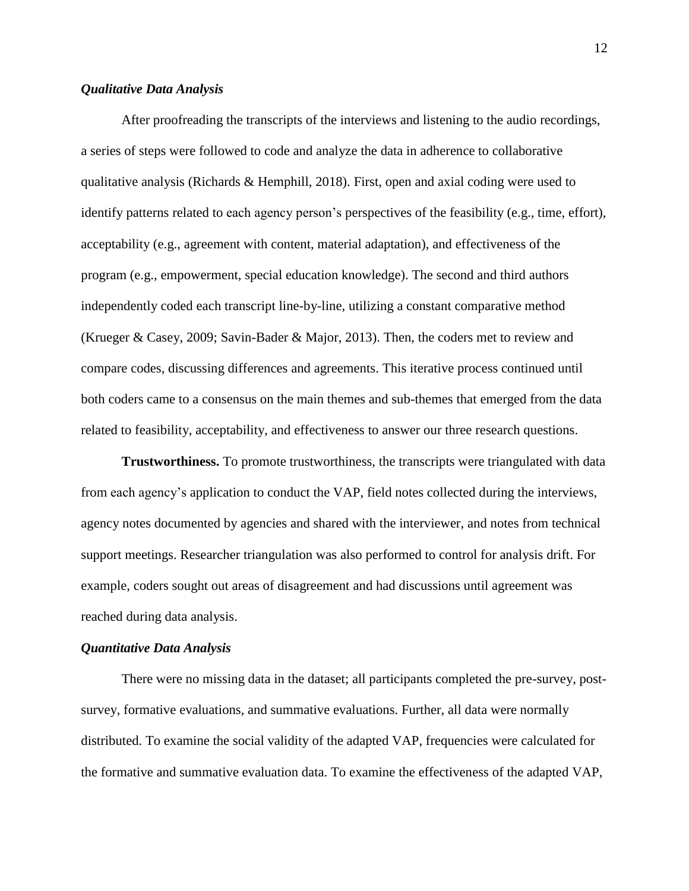## *Qualitative Data Analysis*

After proofreading the transcripts of the interviews and listening to the audio recordings, a series of steps were followed to code and analyze the data in adherence to collaborative qualitative analysis (Richards & Hemphill, 2018). First, open and axial coding were used to identify patterns related to each agency person's perspectives of the feasibility (e.g., time, effort), acceptability (e.g., agreement with content, material adaptation), and effectiveness of the program (e.g., empowerment, special education knowledge). The second and third authors independently coded each transcript line-by-line, utilizing a constant comparative method (Krueger & Casey, 2009; Savin-Bader & Major, 2013). Then, the coders met to review and compare codes, discussing differences and agreements. This iterative process continued until both coders came to a consensus on the main themes and sub-themes that emerged from the data related to feasibility, acceptability, and effectiveness to answer our three research questions.

**Trustworthiness.** To promote trustworthiness, the transcripts were triangulated with data from each agency's application to conduct the VAP, field notes collected during the interviews, agency notes documented by agencies and shared with the interviewer, and notes from technical support meetings. Researcher triangulation was also performed to control for analysis drift. For example, coders sought out areas of disagreement and had discussions until agreement was reached during data analysis.

#### *Quantitative Data Analysis*

There were no missing data in the dataset; all participants completed the pre-survey, postsurvey, formative evaluations, and summative evaluations. Further, all data were normally distributed. To examine the social validity of the adapted VAP, frequencies were calculated for the formative and summative evaluation data. To examine the effectiveness of the adapted VAP,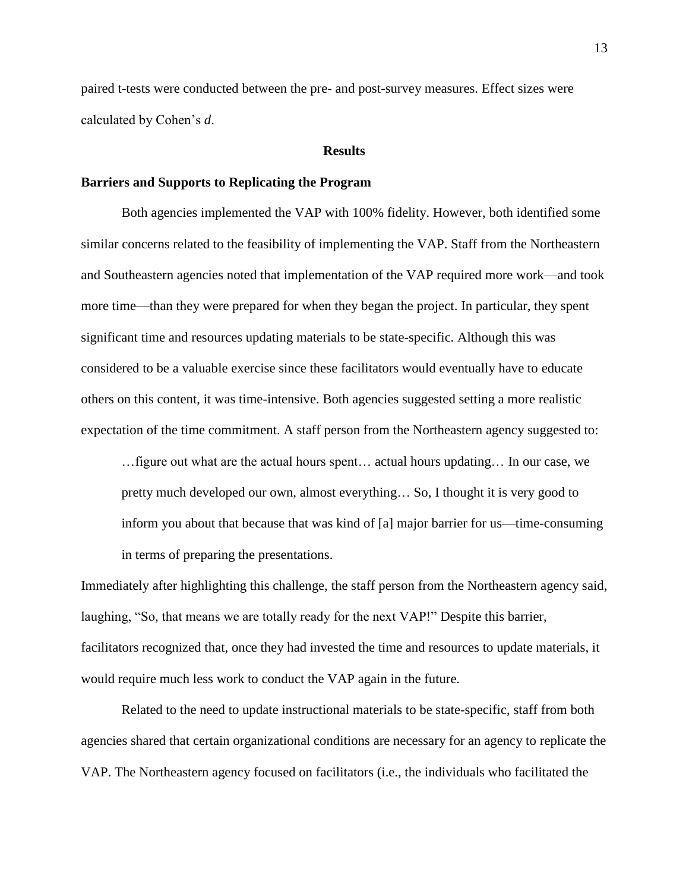paired t-tests were conducted between the pre- and post-survey measures. Effect sizes were calculated by Cohen's *d*.

#### **Results**

### **Barriers and Supports to Replicating the Program**

Both agencies implemented the VAP with 100% fidelity. However, both identified some similar concerns related to the feasibility of implementing the VAP. Staff from the Northeastern and Southeastern agencies noted that implementation of the VAP required more work—and took more time—than they were prepared for when they began the project. In particular, they spent significant time and resources updating materials to be state-specific. Although this was considered to be a valuable exercise since these facilitators would eventually have to educate others on this content, it was time-intensive. Both agencies suggested setting a more realistic expectation of the time commitment. A staff person from the Northeastern agency suggested to:

…figure out what are the actual hours spent… actual hours updating… In our case, we pretty much developed our own, almost everything… So, I thought it is very good to inform you about that because that was kind of [a] major barrier for us—time-consuming in terms of preparing the presentations.

Immediately after highlighting this challenge, the staff person from the Northeastern agency said, laughing, "So, that means we are totally ready for the next VAP!" Despite this barrier, facilitators recognized that, once they had invested the time and resources to update materials, it would require much less work to conduct the VAP again in the future.

Related to the need to update instructional materials to be state-specific, staff from both agencies shared that certain organizational conditions are necessary for an agency to replicate the VAP. The Northeastern agency focused on facilitators (i.e., the individuals who facilitated the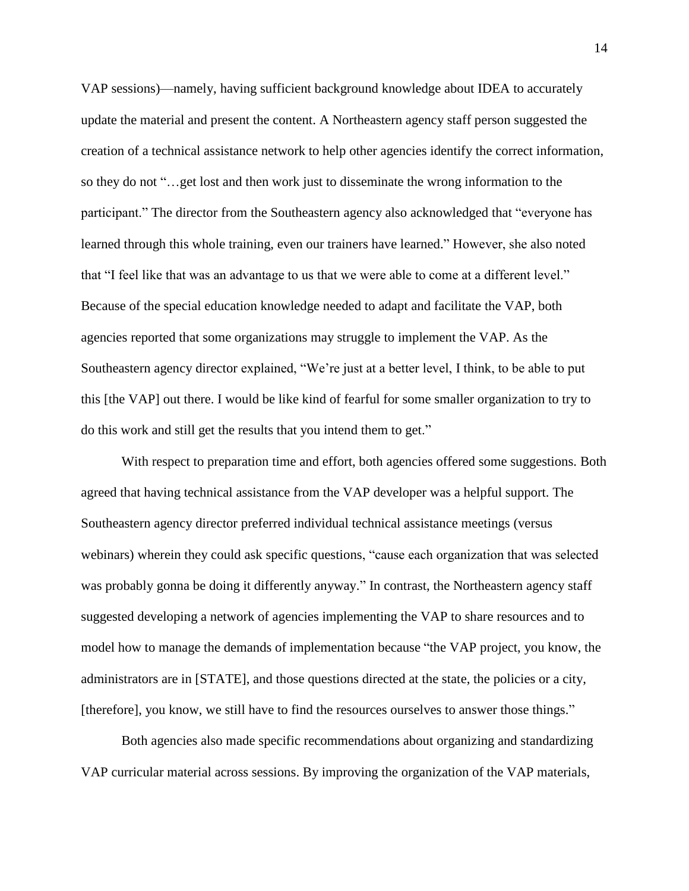VAP sessions)—namely, having sufficient background knowledge about IDEA to accurately update the material and present the content. A Northeastern agency staff person suggested the creation of a technical assistance network to help other agencies identify the correct information, so they do not "…get lost and then work just to disseminate the wrong information to the participant." The director from the Southeastern agency also acknowledged that "everyone has learned through this whole training, even our trainers have learned." However, she also noted that "I feel like that was an advantage to us that we were able to come at a different level." Because of the special education knowledge needed to adapt and facilitate the VAP, both agencies reported that some organizations may struggle to implement the VAP. As the Southeastern agency director explained, "We're just at a better level, I think, to be able to put this [the VAP] out there. I would be like kind of fearful for some smaller organization to try to do this work and still get the results that you intend them to get."

With respect to preparation time and effort, both agencies offered some suggestions. Both agreed that having technical assistance from the VAP developer was a helpful support. The Southeastern agency director preferred individual technical assistance meetings (versus webinars) wherein they could ask specific questions, "cause each organization that was selected was probably gonna be doing it differently anyway." In contrast, the Northeastern agency staff suggested developing a network of agencies implementing the VAP to share resources and to model how to manage the demands of implementation because "the VAP project, you know, the administrators are in [STATE], and those questions directed at the state, the policies or a city, [therefore], you know, we still have to find the resources ourselves to answer those things."

Both agencies also made specific recommendations about organizing and standardizing VAP curricular material across sessions. By improving the organization of the VAP materials,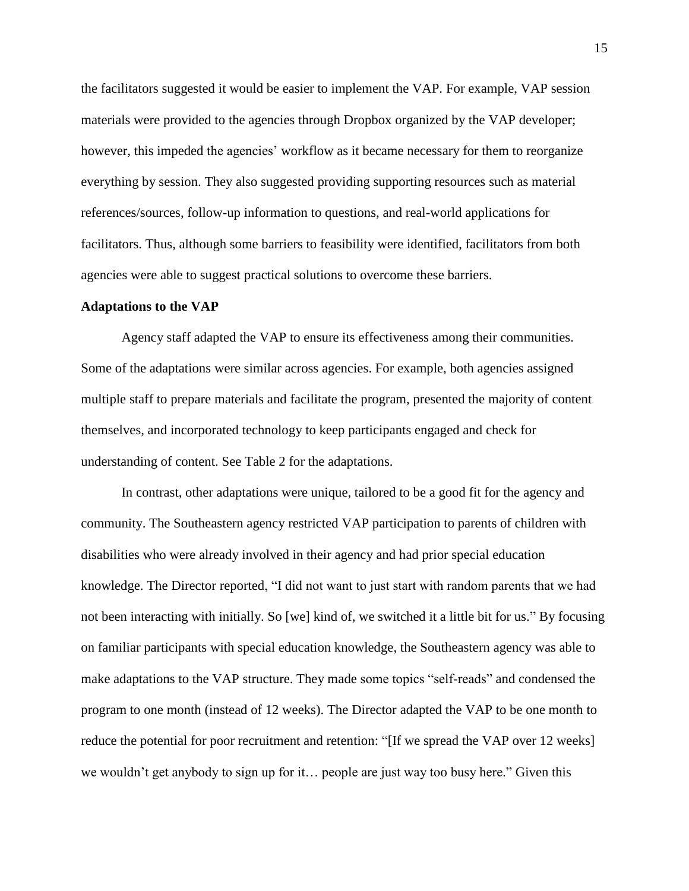the facilitators suggested it would be easier to implement the VAP. For example, VAP session materials were provided to the agencies through Dropbox organized by the VAP developer; however, this impeded the agencies' workflow as it became necessary for them to reorganize everything by session. They also suggested providing supporting resources such as material references/sources, follow-up information to questions, and real-world applications for facilitators. Thus, although some barriers to feasibility were identified, facilitators from both agencies were able to suggest practical solutions to overcome these barriers.

#### **Adaptations to the VAP**

Agency staff adapted the VAP to ensure its effectiveness among their communities. Some of the adaptations were similar across agencies. For example, both agencies assigned multiple staff to prepare materials and facilitate the program, presented the majority of content themselves, and incorporated technology to keep participants engaged and check for understanding of content. See Table 2 for the adaptations.

In contrast, other adaptations were unique, tailored to be a good fit for the agency and community. The Southeastern agency restricted VAP participation to parents of children with disabilities who were already involved in their agency and had prior special education knowledge. The Director reported, "I did not want to just start with random parents that we had not been interacting with initially. So [we] kind of, we switched it a little bit for us." By focusing on familiar participants with special education knowledge, the Southeastern agency was able to make adaptations to the VAP structure. They made some topics "self-reads" and condensed the program to one month (instead of 12 weeks). The Director adapted the VAP to be one month to reduce the potential for poor recruitment and retention: "[If we spread the VAP over 12 weeks] we wouldn't get anybody to sign up for it… people are just way too busy here." Given this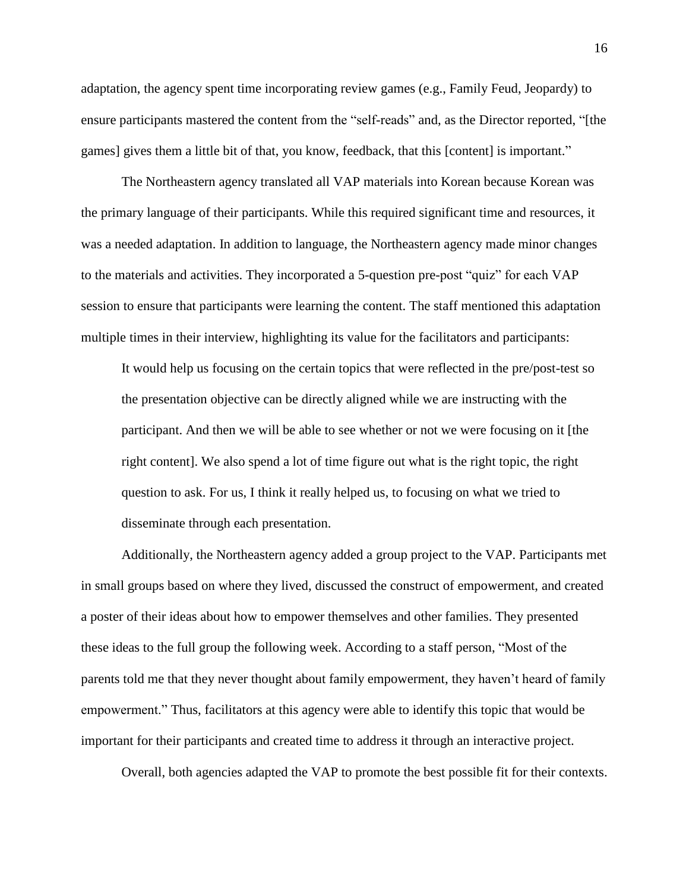adaptation, the agency spent time incorporating review games (e.g., Family Feud, Jeopardy) to ensure participants mastered the content from the "self-reads" and, as the Director reported, "[the games] gives them a little bit of that, you know, feedback, that this [content] is important."

The Northeastern agency translated all VAP materials into Korean because Korean was the primary language of their participants. While this required significant time and resources, it was a needed adaptation. In addition to language, the Northeastern agency made minor changes to the materials and activities. They incorporated a 5-question pre-post "quiz" for each VAP session to ensure that participants were learning the content. The staff mentioned this adaptation multiple times in their interview, highlighting its value for the facilitators and participants:

It would help us focusing on the certain topics that were reflected in the pre/post-test so the presentation objective can be directly aligned while we are instructing with the participant. And then we will be able to see whether or not we were focusing on it [the right content]. We also spend a lot of time figure out what is the right topic, the right question to ask. For us, I think it really helped us, to focusing on what we tried to disseminate through each presentation.

Additionally, the Northeastern agency added a group project to the VAP. Participants met in small groups based on where they lived, discussed the construct of empowerment, and created a poster of their ideas about how to empower themselves and other families. They presented these ideas to the full group the following week. According to a staff person, "Most of the parents told me that they never thought about family empowerment, they haven't heard of family empowerment." Thus, facilitators at this agency were able to identify this topic that would be important for their participants and created time to address it through an interactive project.

Overall, both agencies adapted the VAP to promote the best possible fit for their contexts.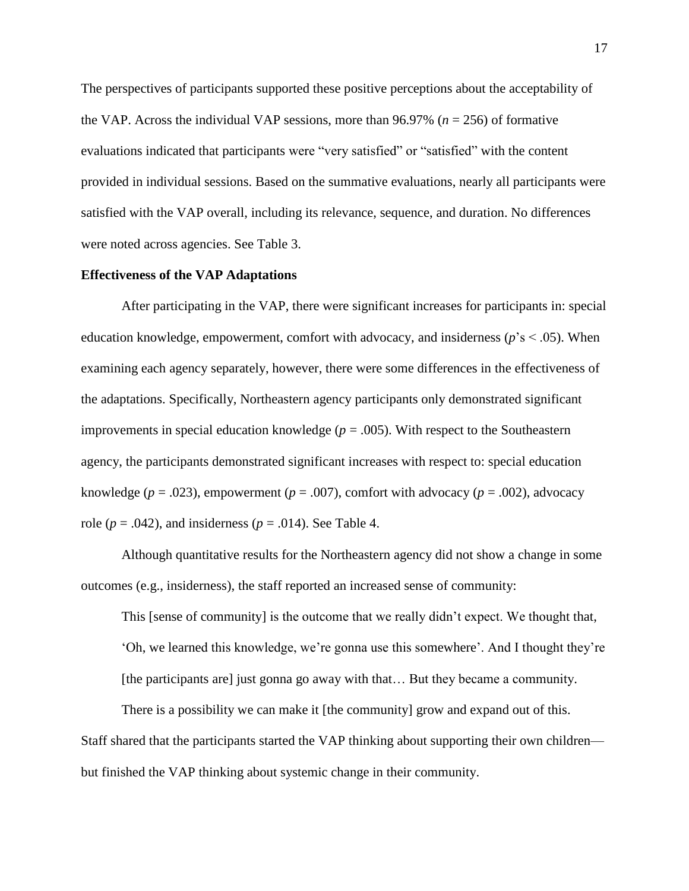The perspectives of participants supported these positive perceptions about the acceptability of the VAP. Across the individual VAP sessions, more than 96.97% (*n* = 256) of formative evaluations indicated that participants were "very satisfied" or "satisfied" with the content provided in individual sessions. Based on the summative evaluations, nearly all participants were satisfied with the VAP overall, including its relevance, sequence, and duration. No differences were noted across agencies. See Table 3.

### **Effectiveness of the VAP Adaptations**

After participating in the VAP, there were significant increases for participants in: special education knowledge, empowerment, comfort with advocacy, and insiderness (*p*'s < .05). When examining each agency separately, however, there were some differences in the effectiveness of the adaptations. Specifically, Northeastern agency participants only demonstrated significant improvements in special education knowledge  $(p = .005)$ . With respect to the Southeastern agency, the participants demonstrated significant increases with respect to: special education knowledge ( $p = .023$ ), empowerment ( $p = .007$ ), comfort with advocacy ( $p = .002$ ), advocacy role ( $p = .042$ ), and insiderness ( $p = .014$ ). See Table 4.

Although quantitative results for the Northeastern agency did not show a change in some outcomes (e.g., insiderness), the staff reported an increased sense of community:

This [sense of community] is the outcome that we really didn't expect. We thought that,

'Oh, we learned this knowledge, we're gonna use this somewhere'. And I thought they're [the participants are] just gonna go away with that… But they became a community.

There is a possibility we can make it [the community] grow and expand out of this. Staff shared that the participants started the VAP thinking about supporting their own children but finished the VAP thinking about systemic change in their community.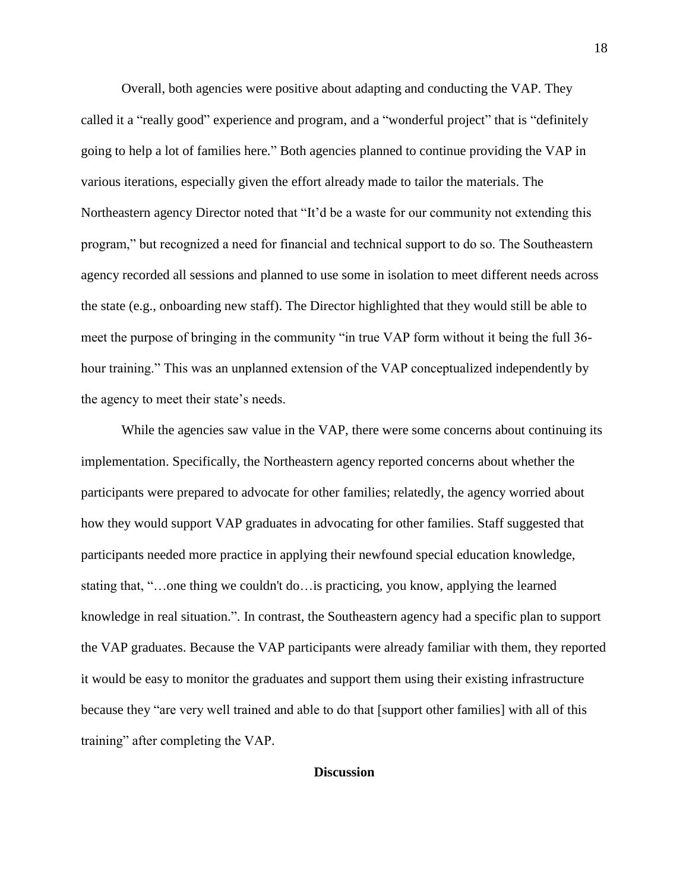Overall, both agencies were positive about adapting and conducting the VAP. They called it a "really good" experience and program, and a "wonderful project" that is "definitely going to help a lot of families here." Both agencies planned to continue providing the VAP in various iterations, especially given the effort already made to tailor the materials. The Northeastern agency Director noted that "It'd be a waste for our community not extending this program," but recognized a need for financial and technical support to do so. The Southeastern agency recorded all sessions and planned to use some in isolation to meet different needs across the state (e.g., onboarding new staff). The Director highlighted that they would still be able to meet the purpose of bringing in the community "in true VAP form without it being the full 36 hour training." This was an unplanned extension of the VAP conceptualized independently by the agency to meet their state's needs.

While the agencies saw value in the VAP, there were some concerns about continuing its implementation. Specifically, the Northeastern agency reported concerns about whether the participants were prepared to advocate for other families; relatedly, the agency worried about how they would support VAP graduates in advocating for other families. Staff suggested that participants needed more practice in applying their newfound special education knowledge, stating that, "…one thing we couldn't do…is practicing, you know, applying the learned knowledge in real situation.". In contrast, the Southeastern agency had a specific plan to support the VAP graduates. Because the VAP participants were already familiar with them, they reported it would be easy to monitor the graduates and support them using their existing infrastructure because they "are very well trained and able to do that [support other families] with all of this training" after completing the VAP.

## **Discussion**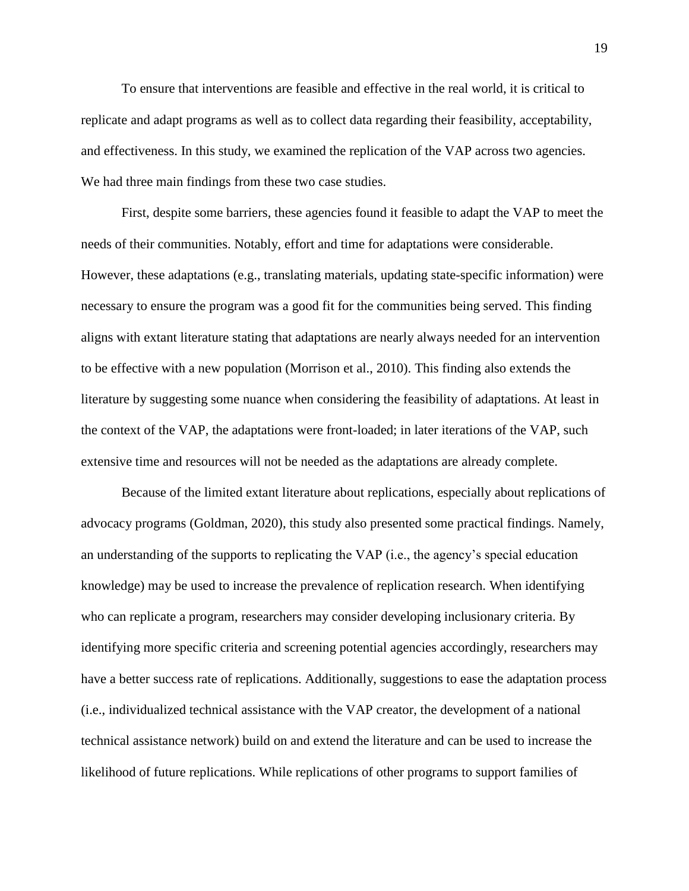To ensure that interventions are feasible and effective in the real world, it is critical to replicate and adapt programs as well as to collect data regarding their feasibility, acceptability, and effectiveness. In this study, we examined the replication of the VAP across two agencies. We had three main findings from these two case studies.

First, despite some barriers, these agencies found it feasible to adapt the VAP to meet the needs of their communities. Notably, effort and time for adaptations were considerable. However, these adaptations (e.g., translating materials, updating state-specific information) were necessary to ensure the program was a good fit for the communities being served. This finding aligns with extant literature stating that adaptations are nearly always needed for an intervention to be effective with a new population (Morrison et al., 2010). This finding also extends the literature by suggesting some nuance when considering the feasibility of adaptations. At least in the context of the VAP, the adaptations were front-loaded; in later iterations of the VAP, such extensive time and resources will not be needed as the adaptations are already complete.

Because of the limited extant literature about replications, especially about replications of advocacy programs (Goldman, 2020), this study also presented some practical findings. Namely, an understanding of the supports to replicating the VAP (i.e., the agency's special education knowledge) may be used to increase the prevalence of replication research. When identifying who can replicate a program, researchers may consider developing inclusionary criteria. By identifying more specific criteria and screening potential agencies accordingly, researchers may have a better success rate of replications. Additionally, suggestions to ease the adaptation process (i.e., individualized technical assistance with the VAP creator, the development of a national technical assistance network) build on and extend the literature and can be used to increase the likelihood of future replications. While replications of other programs to support families of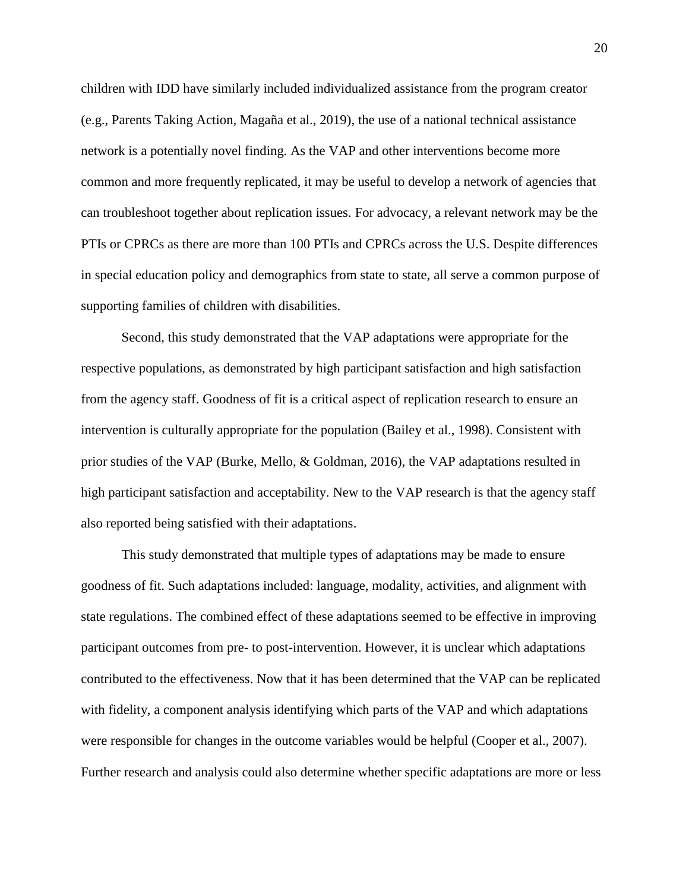children with IDD have similarly included individualized assistance from the program creator (e.g., Parents Taking Action, Magaña et al., 2019), the use of a national technical assistance network is a potentially novel finding. As the VAP and other interventions become more common and more frequently replicated, it may be useful to develop a network of agencies that can troubleshoot together about replication issues. For advocacy, a relevant network may be the PTIs or CPRCs as there are more than 100 PTIs and CPRCs across the U.S. Despite differences in special education policy and demographics from state to state, all serve a common purpose of supporting families of children with disabilities.

Second, this study demonstrated that the VAP adaptations were appropriate for the respective populations, as demonstrated by high participant satisfaction and high satisfaction from the agency staff. Goodness of fit is a critical aspect of replication research to ensure an intervention is culturally appropriate for the population (Bailey et al., 1998). Consistent with prior studies of the VAP (Burke, Mello, & Goldman, 2016), the VAP adaptations resulted in high participant satisfaction and acceptability. New to the VAP research is that the agency staff also reported being satisfied with their adaptations.

This study demonstrated that multiple types of adaptations may be made to ensure goodness of fit. Such adaptations included: language, modality, activities, and alignment with state regulations. The combined effect of these adaptations seemed to be effective in improving participant outcomes from pre- to post-intervention. However, it is unclear which adaptations contributed to the effectiveness. Now that it has been determined that the VAP can be replicated with fidelity, a component analysis identifying which parts of the VAP and which adaptations were responsible for changes in the outcome variables would be helpful (Cooper et al., 2007). Further research and analysis could also determine whether specific adaptations are more or less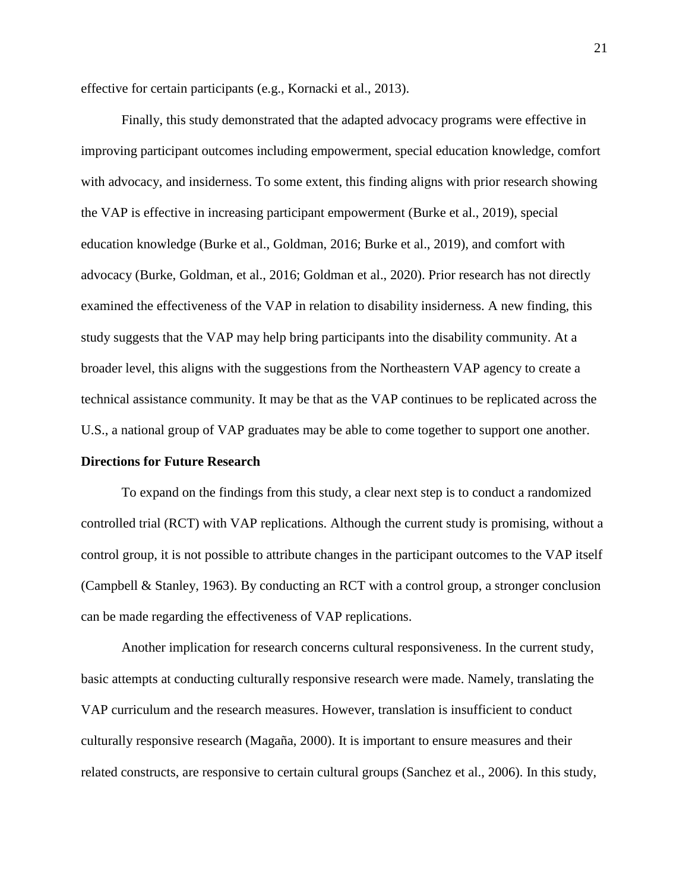effective for certain participants (e.g., Kornacki et al., 2013).

Finally, this study demonstrated that the adapted advocacy programs were effective in improving participant outcomes including empowerment, special education knowledge, comfort with advocacy, and insiderness. To some extent, this finding aligns with prior research showing the VAP is effective in increasing participant empowerment (Burke et al., 2019), special education knowledge (Burke et al., Goldman, 2016; Burke et al., 2019), and comfort with advocacy (Burke, Goldman, et al., 2016; Goldman et al., 2020). Prior research has not directly examined the effectiveness of the VAP in relation to disability insiderness. A new finding, this study suggests that the VAP may help bring participants into the disability community. At a broader level, this aligns with the suggestions from the Northeastern VAP agency to create a technical assistance community. It may be that as the VAP continues to be replicated across the U.S., a national group of VAP graduates may be able to come together to support one another.

### **Directions for Future Research**

To expand on the findings from this study, a clear next step is to conduct a randomized controlled trial (RCT) with VAP replications. Although the current study is promising, without a control group, it is not possible to attribute changes in the participant outcomes to the VAP itself (Campbell & Stanley, 1963). By conducting an RCT with a control group, a stronger conclusion can be made regarding the effectiveness of VAP replications.

Another implication for research concerns cultural responsiveness. In the current study, basic attempts at conducting culturally responsive research were made. Namely, translating the VAP curriculum and the research measures. However, translation is insufficient to conduct culturally responsive research (Magaña, 2000). It is important to ensure measures and their related constructs, are responsive to certain cultural groups (Sanchez et al., 2006). In this study,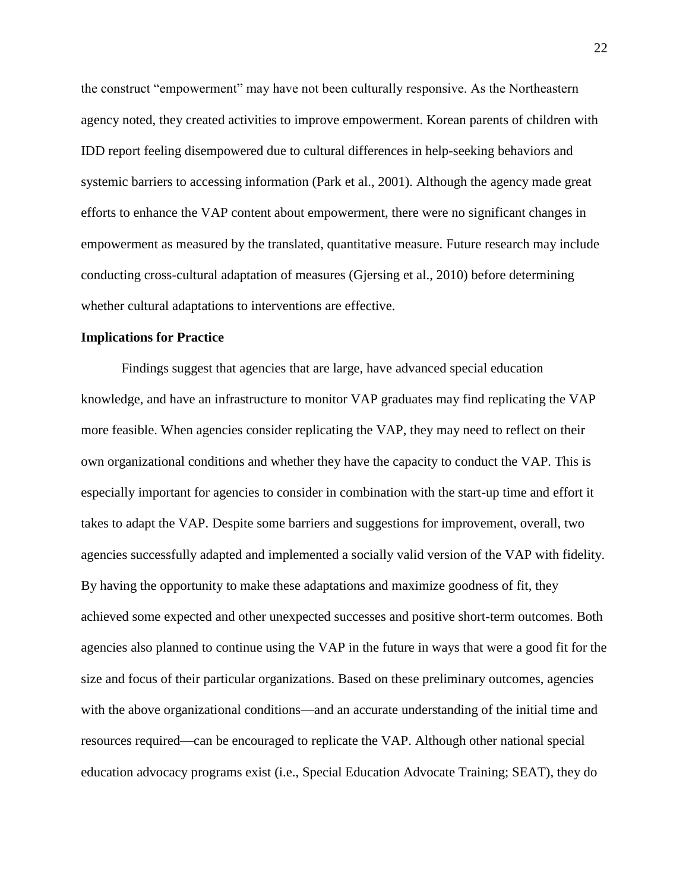the construct "empowerment" may have not been culturally responsive. As the Northeastern agency noted, they created activities to improve empowerment. Korean parents of children with IDD report feeling disempowered due to cultural differences in help-seeking behaviors and systemic barriers to accessing information (Park et al., 2001). Although the agency made great efforts to enhance the VAP content about empowerment, there were no significant changes in empowerment as measured by the translated, quantitative measure. Future research may include conducting cross-cultural adaptation of measures (Gjersing et al., 2010) before determining whether cultural adaptations to interventions are effective.

### **Implications for Practice**

Findings suggest that agencies that are large, have advanced special education knowledge, and have an infrastructure to monitor VAP graduates may find replicating the VAP more feasible. When agencies consider replicating the VAP, they may need to reflect on their own organizational conditions and whether they have the capacity to conduct the VAP. This is especially important for agencies to consider in combination with the start-up time and effort it takes to adapt the VAP. Despite some barriers and suggestions for improvement, overall, two agencies successfully adapted and implemented a socially valid version of the VAP with fidelity. By having the opportunity to make these adaptations and maximize goodness of fit, they achieved some expected and other unexpected successes and positive short-term outcomes. Both agencies also planned to continue using the VAP in the future in ways that were a good fit for the size and focus of their particular organizations. Based on these preliminary outcomes, agencies with the above organizational conditions—and an accurate understanding of the initial time and resources required—can be encouraged to replicate the VAP. Although other national special education advocacy programs exist (i.e., Special Education Advocate Training; SEAT), they do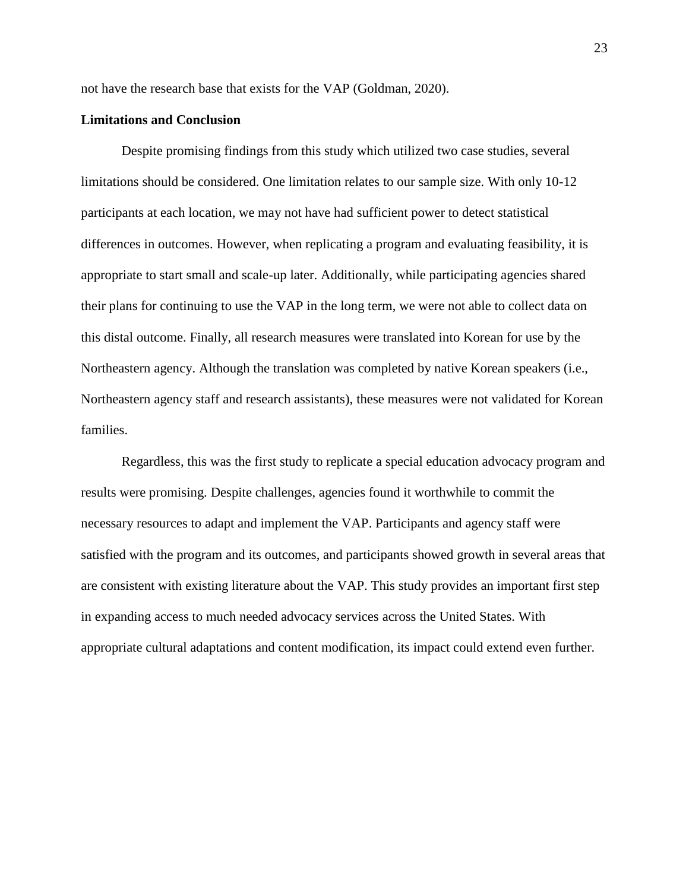not have the research base that exists for the VAP (Goldman, 2020).

### **Limitations and Conclusion**

Despite promising findings from this study which utilized two case studies, several limitations should be considered. One limitation relates to our sample size. With only 10-12 participants at each location, we may not have had sufficient power to detect statistical differences in outcomes. However, when replicating a program and evaluating feasibility, it is appropriate to start small and scale-up later. Additionally, while participating agencies shared their plans for continuing to use the VAP in the long term, we were not able to collect data on this distal outcome. Finally, all research measures were translated into Korean for use by the Northeastern agency. Although the translation was completed by native Korean speakers (i.e., Northeastern agency staff and research assistants), these measures were not validated for Korean families.

Regardless, this was the first study to replicate a special education advocacy program and results were promising. Despite challenges, agencies found it worthwhile to commit the necessary resources to adapt and implement the VAP. Participants and agency staff were satisfied with the program and its outcomes, and participants showed growth in several areas that are consistent with existing literature about the VAP. This study provides an important first step in expanding access to much needed advocacy services across the United States. With appropriate cultural adaptations and content modification, its impact could extend even further.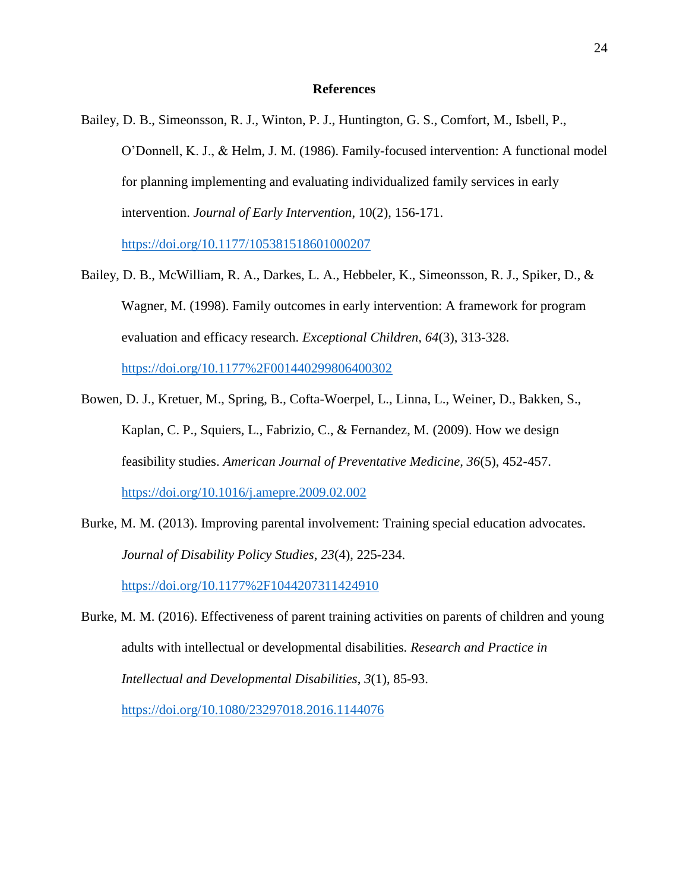### **References**

Bailey, D. B., Simeonsson, R. J., Winton, P. J., Huntington, G. S., Comfort, M., Isbell, P., O'Donnell, K. J., & Helm, J. M. (1986). Family-focused intervention: A functional model for planning implementing and evaluating individualized family services in early intervention. *Journal of Early Intervention*, 10(2), 156-171.

<https://doi.org/10.1177/105381518601000207>

Bailey, D. B., McWilliam, R. A., Darkes, L. A., Hebbeler, K., Simeonsson, R. J., Spiker, D., & Wagner, M. (1998). Family outcomes in early intervention: A framework for program evaluation and efficacy research. *Exceptional Children*, *64*(3), 313-328.

<https://doi.org/10.1177%2F001440299806400302>

- Bowen, D. J., Kretuer, M., Spring, B., Cofta-Woerpel, L., Linna, L., Weiner, D., Bakken, S., Kaplan, C. P., Squiers, L., Fabrizio, C., & Fernandez, M. (2009). How we design feasibility studies. *American Journal of Preventative Medicine, 36*(5), 452-457. <https://doi.org/10.1016/j.amepre.2009.02.002>
- Burke, M. M. (2013). Improving parental involvement: Training special education advocates. *Journal of Disability Policy Studies*, *23*(4), 225-234. <https://doi.org/10.1177%2F1044207311424910>
- Burke, M. M. (2016). Effectiveness of parent training activities on parents of children and young adults with intellectual or developmental disabilities. *Research and Practice in Intellectual and Developmental Disabilities*, *3*(1), 85-93.

<https://doi.org/10.1080/23297018.2016.1144076>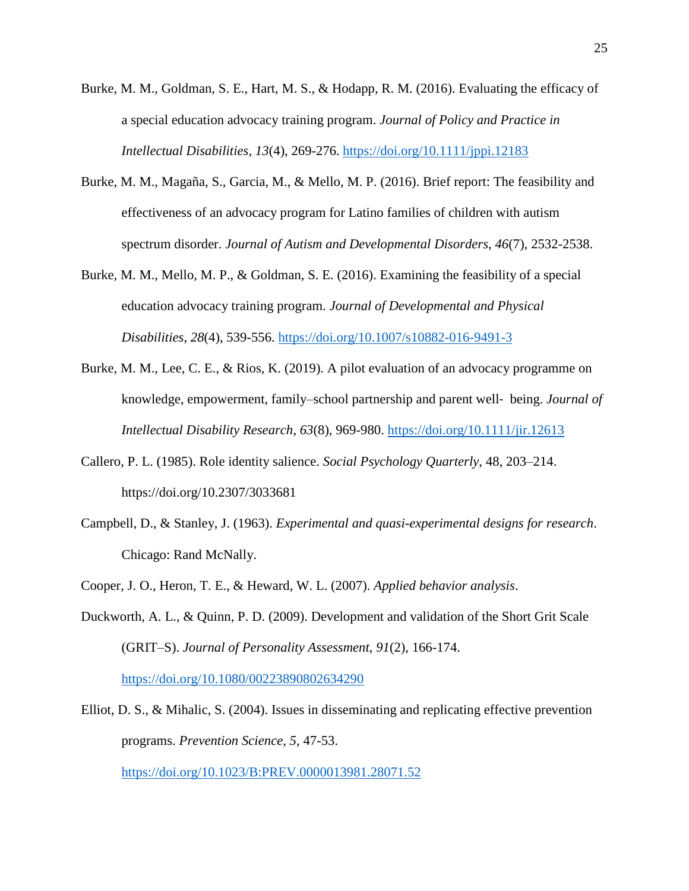- Burke, M. M., Goldman, S. E., Hart, M. S., & Hodapp, R. M. (2016). Evaluating the efficacy of a special education advocacy training program. *Journal of Policy and Practice in Intellectual Disabilities, 13*(4), 269-276. <https://doi.org/10.1111/jppi.12183>
- Burke, M. M., Magaña, S., Garcia, M., & Mello, M. P. (2016). Brief report: The feasibility and effectiveness of an advocacy program for Latino families of children with autism spectrum disorder. *Journal of Autism and Developmental Disorders*, *46*(7), 2532-2538.
- Burke, M. M., Mello, M. P., & Goldman, S. E. (2016). Examining the feasibility of a special education advocacy training program. *Journal of Developmental and Physical Disabilities*, *28*(4), 539-556. <https://doi.org/10.1007/s10882-016-9491-3>
- Burke, M. M., Lee, C. E., & Rios, K. (2019). A pilot evaluation of an advocacy programme on knowledge, empowerment, family–school partnership and parent well‐ being. *Journal of Intellectual Disability Research*, *63*(8), 969-980. <https://doi.org/10.1111/jir.12613>
- Callero, P. L. (1985). Role identity salience. *Social Psychology Quarterly*, 48, 203–214. https://doi.org/10.2307/3033681
- Campbell, D., & Stanley, J. (1963). *Experimental and quasi-experimental designs for research*. Chicago: Rand McNally.
- Cooper, J. O., Heron, T. E., & Heward, W. L. (2007). *Applied behavior analysis*.
- Duckworth, A. L., & Quinn, P. D. (2009). Development and validation of the Short Grit Scale (GRIT–S). *Journal of Personality Assessment*, *91*(2), 166-174. <https://doi.org/10.1080/00223890802634290>
- Elliot, D. S., & Mihalic, S. (2004). Issues in disseminating and replicating effective prevention programs. *Prevention Science, 5*, 47-53.

<https://doi.org/10.1023/B:PREV.0000013981.28071.52>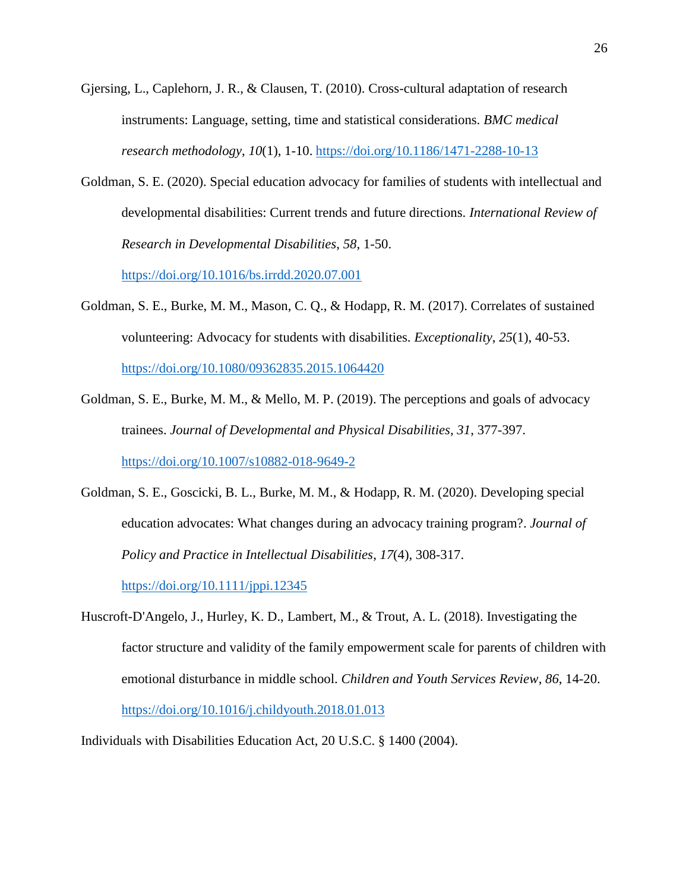- Gjersing, L., Caplehorn, J. R., & Clausen, T. (2010). Cross-cultural adaptation of research instruments: Language, setting, time and statistical considerations. *BMC medical research methodology*, *10*(1), 1-10. <https://doi.org/10.1186/1471-2288-10-13>
- Goldman, S. E. (2020). Special education advocacy for families of students with intellectual and developmental disabilities: Current trends and future directions. *International Review of Research in Developmental Disabilities*, *58*, 1-50.

<https://doi.org/10.1016/bs.irrdd.2020.07.001>

Goldman, S. E., Burke, M. M., Mason, C. Q., & Hodapp, R. M. (2017). Correlates of sustained volunteering: Advocacy for students with disabilities. *Exceptionality*, *25*(1), 40-53. <https://doi.org/10.1080/09362835.2015.1064420>

Goldman, S. E., Burke, M. M., & Mello, M. P. (2019). The perceptions and goals of advocacy trainees. *Journal of Developmental and Physical Disabilities, 31*, 377-397.

<https://doi.org/10.1007/s10882-018-9649-2>

- Goldman, S. E., Goscicki, B. L., Burke, M. M., & Hodapp, R. M. (2020). Developing special education advocates: What changes during an advocacy training program?. *Journal of Policy and Practice in Intellectual Disabilities*, *17*(4), 308-317. <https://doi.org/10.1111/jppi.12345>
- Huscroft-D'Angelo, J., Hurley, K. D., Lambert, M., & Trout, A. L. (2018). Investigating the factor structure and validity of the family empowerment scale for parents of children with emotional disturbance in middle school. *Children and Youth Services Review*, *86*, 14-20. <https://doi.org/10.1016/j.childyouth.2018.01.013>

Individuals with Disabilities Education Act, 20 U.S.C. § 1400 (2004).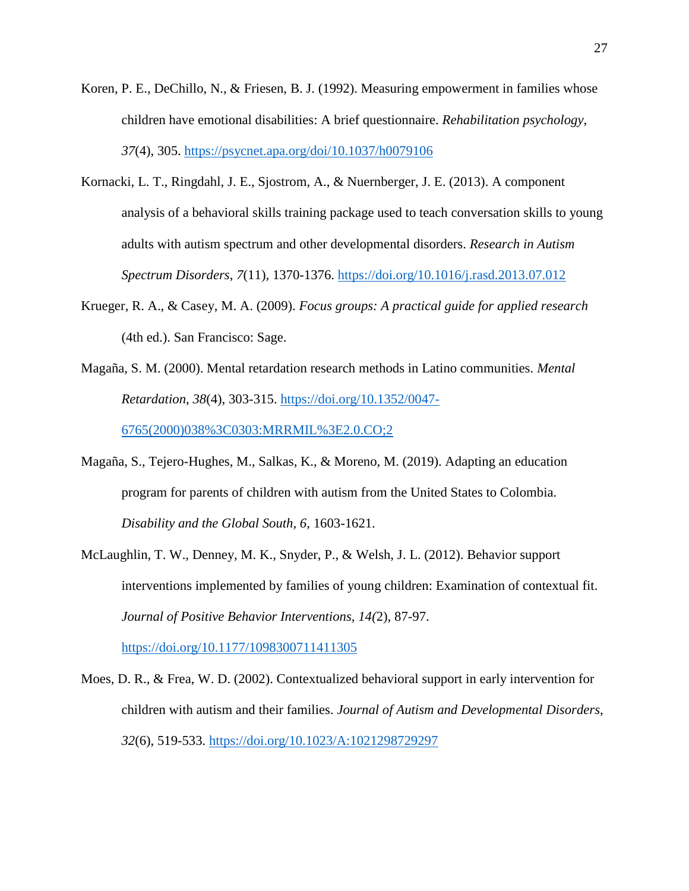- Koren, P. E., DeChillo, N., & Friesen, B. J. (1992). Measuring empowerment in families whose children have emotional disabilities: A brief questionnaire. *Rehabilitation psychology*, *37*(4), 305. <https://psycnet.apa.org/doi/10.1037/h0079106>
- Kornacki, L. T., Ringdahl, J. E., Sjostrom, A., & Nuernberger, J. E. (2013). A component analysis of a behavioral skills training package used to teach conversation skills to young adults with autism spectrum and other developmental disorders. *Research in Autism Spectrum Disorders*, *7*(11), 1370-1376. <https://doi.org/10.1016/j.rasd.2013.07.012>
- Krueger, R. A., & Casey, M. A. (2009). *Focus groups: A practical guide for applied research* (4th ed.). San Francisco: Sage.
- Magaña, S. M. (2000). Mental retardation research methods in Latino communities. *Mental Retardation*, *38*(4), 303-315. [https://doi.org/10.1352/0047-](https://doi.org/10.1352/0047-6765(2000)038%3C0303:MRRMIL%3E2.0.CO;2) [6765\(2000\)038%3C0303:MRRMIL%3E2.0.CO;2](https://doi.org/10.1352/0047-6765(2000)038%3C0303:MRRMIL%3E2.0.CO;2)

Magaña, S., Tejero-Hughes, M., Salkas, K., & Moreno, M. (2019). Adapting an education program for parents of children with autism from the United States to Colombia.

*Disability and the Global South, 6*, 1603-1621.

McLaughlin, T. W., Denney, M. K., Snyder, P., & Welsh, J. L. (2012). Behavior support interventions implemented by families of young children: Examination of contextual fit. *Journal of Positive Behavior Interventions, 14(*2), 87-97.

<https://doi.org/10.1177/1098300711411305>

Moes, D. R., & Frea, W. D. (2002). Contextualized behavioral support in early intervention for children with autism and their families. *Journal of Autism and Developmental Disorders*, *32*(6), 519-533. <https://doi.org/10.1023/A:1021298729297>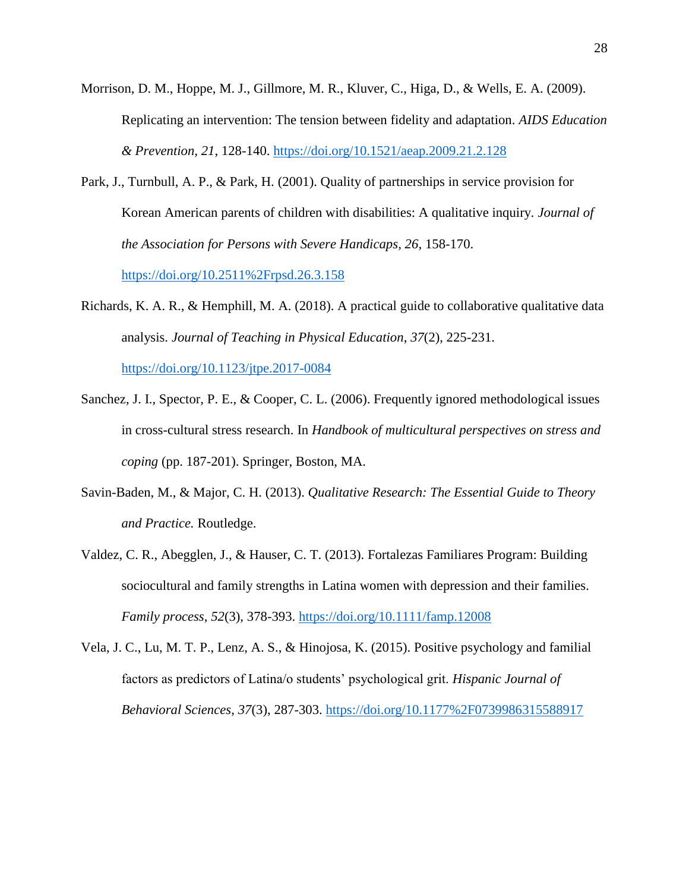Morrison, D. M., Hoppe, M. J., Gillmore, M. R., Kluver, C., Higa, D., & Wells, E. A. (2009). Replicating an intervention: The tension between fidelity and adaptation. *AIDS Education & Prevention, 21*, 128-140.<https://doi.org/10.1521/aeap.2009.21.2.128>

Park, J., Turnbull, A. P., & Park, H. (2001). Quality of partnerships in service provision for Korean American parents of children with disabilities: A qualitative inquiry. *Journal of the Association for Persons with Severe Handicaps, 26*, 158-170.

<https://doi.org/10.2511%2Frpsd.26.3.158>

Richards, K. A. R., & Hemphill, M. A. (2018). A practical guide to collaborative qualitative data analysis. *Journal of Teaching in Physical Education*, *37*(2), 225-231.

<https://doi.org/10.1123/jtpe.2017-0084>

- Sanchez, J. I., Spector, P. E., & Cooper, C. L. (2006). Frequently ignored methodological issues in cross-cultural stress research. In *Handbook of multicultural perspectives on stress and coping* (pp. 187-201). Springer, Boston, MA.
- Savin-Baden, M., & Major, C. H. (2013). *Qualitative Research: The Essential Guide to Theory and Practice.* Routledge.
- Valdez, C. R., Abegglen, J., & Hauser, C. T. (2013). Fortalezas Familiares Program: Building sociocultural and family strengths in Latina women with depression and their families. *Family process*, *52*(3), 378-393. <https://doi.org/10.1111/famp.12008>
- Vela, J. C., Lu, M. T. P., Lenz, A. S., & Hinojosa, K. (2015). Positive psychology and familial factors as predictors of Latina/o students' psychological grit. *Hispanic Journal of Behavioral Sciences*, *37*(3), 287-303. <https://doi.org/10.1177%2F0739986315588917>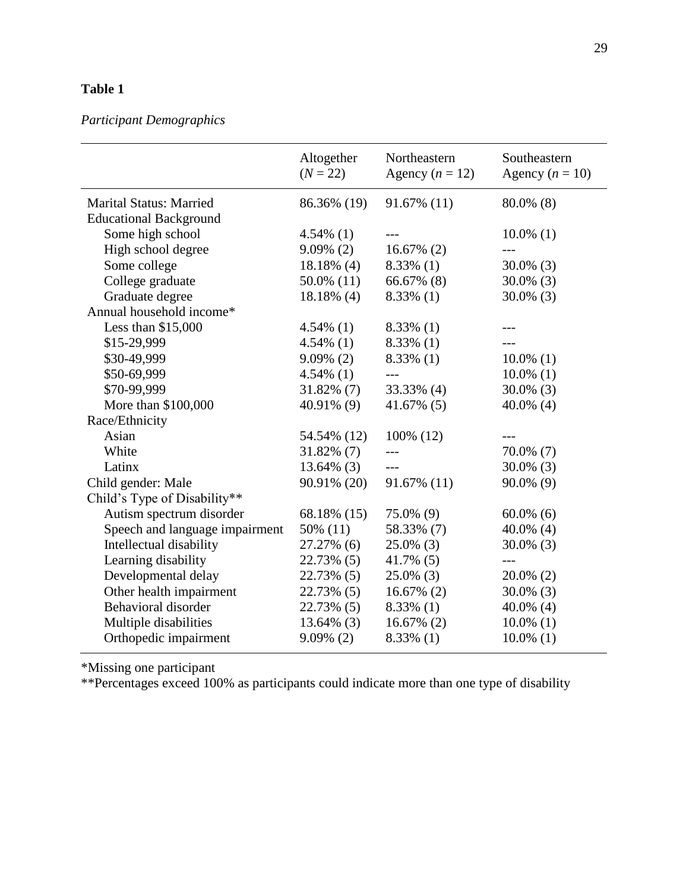## *Participant Demographics*

|                                | Altogether<br>$(N = 22)$ | Northeastern<br>Agency $(n = 12)$ | Southeastern<br>Agency $(n = 10)$ |
|--------------------------------|--------------------------|-----------------------------------|-----------------------------------|
| <b>Marital Status: Married</b> | 86.36% (19)              | 91.67% (11)                       | $80.0\%$ (8)                      |
| <b>Educational Background</b>  |                          |                                   |                                   |
| Some high school               | $4.54\%$ (1)             |                                   | $10.0\%$ (1)                      |
| High school degree             | $9.09\%$ (2)             | $16.67\%$ (2)                     |                                   |
| Some college                   | $18.18\%$ (4)            | $8.33\%$ (1)                      | $30.0\%$ (3)                      |
| College graduate               | $50.0\%$ (11)            | 66.67% (8)                        | $30.0\%$ (3)                      |
| Graduate degree                | $18.18\%$ (4)            | $8.33\%$ (1)                      | $30.0\%$ (3)                      |
| Annual household income*       |                          |                                   |                                   |
| Less than $$15,000$            | $4.54\%$ (1)             | $8.33\%$ (1)                      |                                   |
| \$15-29,999                    | $4.54\%$ (1)             | $8.33\%$ (1)                      |                                   |
| \$30-49,999                    | $9.09\%$ (2)             | $8.33\%$ (1)                      | $10.0\%$ (1)                      |
| \$50-69,999                    | $4.54\%$ (1)             |                                   | $10.0\%$ (1)                      |
| \$70-99,999                    | $31.82\%$ (7)            | 33.33% (4)                        | $30.0\%$ (3)                      |
| More than \$100,000            | 40.91% (9)               | $41.67\%$ (5)                     | 40.0% (4)                         |
| Race/Ethnicity                 |                          |                                   |                                   |
| Asian                          | 54.54% (12)              | 100% (12)                         |                                   |
| White                          | $31.82\%$ (7)            |                                   | 70.0% (7)                         |
| Latinx                         | $13.64\%$ (3)            | $---$                             | $30.0\%$ (3)                      |
| Child gender: Male             | 90.91% (20)              | 91.67% (11)                       | $90.0\%$ (9)                      |
| Child's Type of Disability**   |                          |                                   |                                   |
| Autism spectrum disorder       | 68.18% (15)              | 75.0% (9)                         | $60.0\%$ (6)                      |
| Speech and language impairment | 50% (11)                 | 58.33% (7)                        | 40.0% (4)                         |
| Intellectual disability        | 27.27% (6)               | $25.0\%$ (3)                      | $30.0\%$ (3)                      |
| Learning disability            | 22.73% (5)               | $41.7\%$ (5)                      | $---$                             |
| Developmental delay            | 22.73% (5)               | $25.0\%$ (3)                      | $20.0\%$ (2)                      |
| Other health impairment        | 22.73% (5)               | $16.67\%$ (2)                     | $30.0\%$ (3)                      |
| Behavioral disorder            | 22.73% (5)               | $8.33\%$ (1)                      | 40.0% (4)                         |
| Multiple disabilities          | $13.64\%$ (3)            | $16.67\%$ (2)                     | $10.0\%$ (1)                      |
| Orthopedic impairment          | $9.09\%$ (2)             | $8.33\%$ (1)                      | $10.0\%$ (1)                      |

\*Missing one participant

\*\*Percentages exceed 100% as participants could indicate more than one type of disability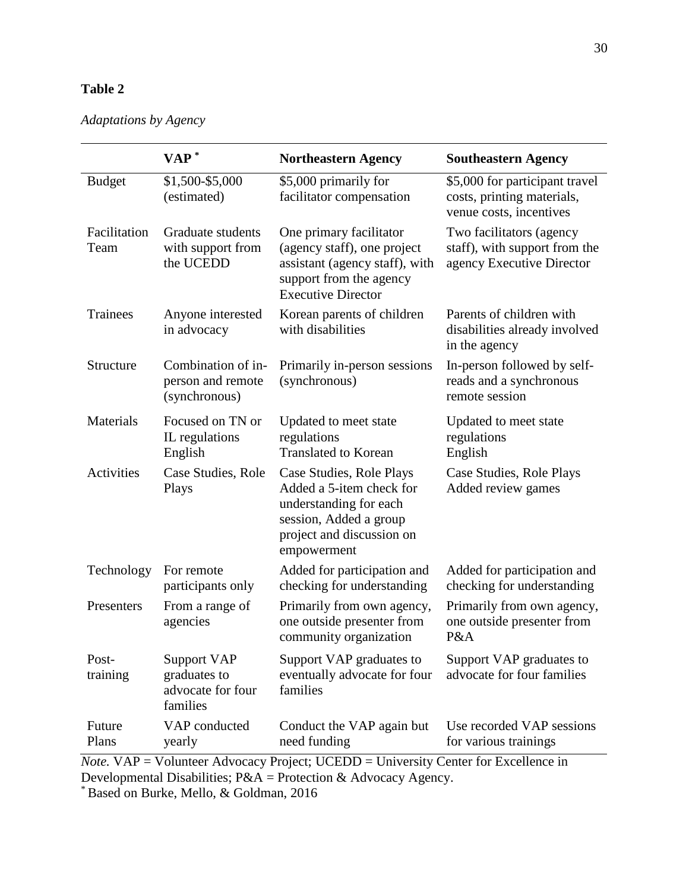|                      | $VAP^*$                                                             | <b>Northeastern Agency</b>                                                                                                                           | <b>Southeastern Agency</b>                                                              |
|----------------------|---------------------------------------------------------------------|------------------------------------------------------------------------------------------------------------------------------------------------------|-----------------------------------------------------------------------------------------|
| <b>Budget</b>        | \$1,500-\$5,000<br>(estimated)                                      | \$5,000 primarily for<br>facilitator compensation                                                                                                    | \$5,000 for participant travel<br>costs, printing materials,<br>venue costs, incentives |
| Facilitation<br>Team | Graduate students<br>with support from<br>the UCEDD                 | One primary facilitator<br>(agency staff), one project<br>assistant (agency staff), with<br>support from the agency<br><b>Executive Director</b>     | Two facilitators (agency<br>staff), with support from the<br>agency Executive Director  |
| Trainees             | Anyone interested<br>in advocacy                                    | Korean parents of children<br>with disabilities                                                                                                      | Parents of children with<br>disabilities already involved<br>in the agency              |
| Structure            | Combination of in-<br>person and remote<br>(synchronous)            | Primarily in-person sessions<br>(synchronous)                                                                                                        | In-person followed by self-<br>reads and a synchronous<br>remote session                |
| Materials            | Focused on TN or<br>IL regulations<br>English                       | Updated to meet state<br>regulations<br><b>Translated to Korean</b>                                                                                  | Updated to meet state<br>regulations<br>English                                         |
| <b>Activities</b>    | Case Studies, Role<br>Plays                                         | Case Studies, Role Plays<br>Added a 5-item check for<br>understanding for each<br>session, Added a group<br>project and discussion on<br>empowerment | Case Studies, Role Plays<br>Added review games                                          |
| Technology           | For remote<br>participants only                                     | Added for participation and<br>checking for understanding                                                                                            | Added for participation and<br>checking for understanding                               |
| Presenters           | From a range of<br>agencies                                         | Primarily from own agency,<br>one outside presenter from<br>community organization                                                                   | Primarily from own agency,<br>one outside presenter from<br>P&A                         |
| Post-<br>training    | <b>Support VAP</b><br>graduates to<br>advocate for four<br>families | Support VAP graduates to<br>eventually advocate for four<br>families                                                                                 | Support VAP graduates to<br>advocate for four families                                  |
| Future<br>Plans      | VAP conducted<br>yearly                                             | Conduct the VAP again but<br>need funding                                                                                                            | Use recorded VAP sessions<br>for various trainings                                      |

*Note.* VAP = Volunteer Advocacy Project; UCEDD = University Center for Excellence in Developmental Disabilities; P&A = Protection & Advocacy Agency.

\*Based on Burke, Mello, & Goldman, 2016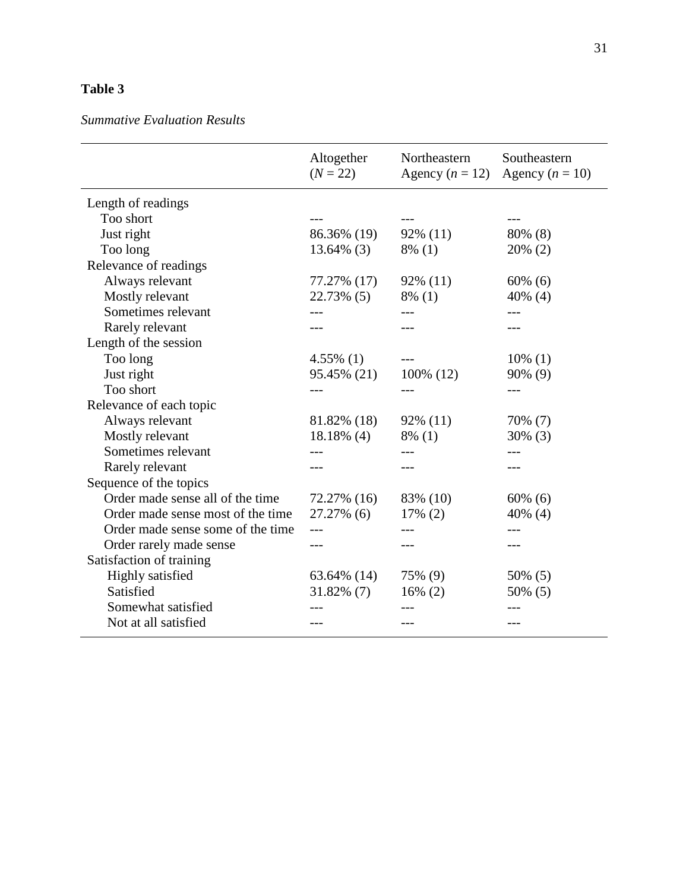## *Summative Evaluation Results*

| Altogether<br>$(N = 22)$ | Northeastern | Southeastern<br>Agency $(n = 10)$ |
|--------------------------|--------------|-----------------------------------|
|                          |              |                                   |
|                          |              |                                   |
| 86.36% (19)              | $92\%$ (11)  | 80% (8)                           |
| $13.64\%$ (3)            | $8\%$ (1)    | $20\%$ (2)                        |
|                          |              |                                   |
| 77.27% (17)              | $92\%$ (11)  | $60\%$ (6)                        |
| 22.73% (5)               | $8\%$ (1)    | $40\%$ (4)                        |
|                          |              |                                   |
|                          | ---          | ---                               |
|                          |              |                                   |
| $4.55\%$ (1)             |              | $10\%$ (1)                        |
| 95.45% (21)              | 100% (12)    | 90% (9)                           |
| ---                      |              | $---$                             |
|                          |              |                                   |
| 81.82% (18)              | 92% (11)     | 70% (7)                           |
| 18.18% (4)               | $8\%$ (1)    | $30\%$ (3)                        |
|                          |              |                                   |
|                          | ---          |                                   |
|                          |              |                                   |
| 72.27% (16)              | 83% (10)     | $60\%$ (6)                        |
| 27.27% (6)               | 17% (2)      | 40% (4)                           |
|                          |              |                                   |
|                          | $- - -$      |                                   |
|                          |              |                                   |
| 63.64% (14)              | 75% (9)      | 50% (5)                           |
| $31.82\%$ (7)            | $16\%$ (2)   | 50% (5)                           |
|                          |              |                                   |
|                          |              |                                   |
|                          |              | Agency $(n = 12)$                 |